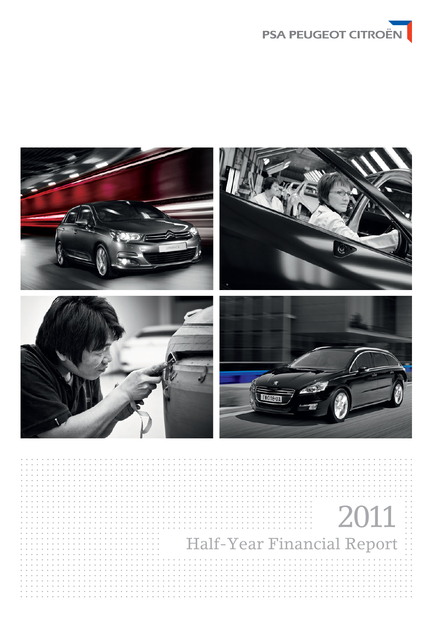

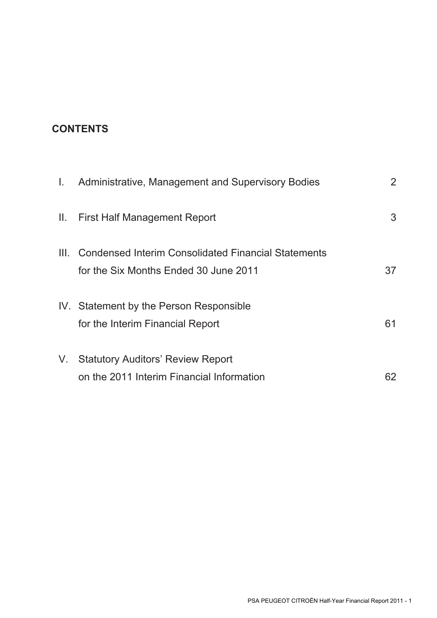# **CONTENTS**

| Τ.   | Administrative, Management and Supervisory Bodies                                                   | 2  |
|------|-----------------------------------------------------------------------------------------------------|----|
| H.   | <b>First Half Management Report</b>                                                                 | 3  |
| III. | <b>Condensed Interim Consolidated Financial Statements</b><br>for the Six Months Ended 30 June 2011 | 37 |
|      | IV. Statement by the Person Responsible<br>for the Interim Financial Report                         | 61 |
| V.   | <b>Statutory Auditors' Review Report</b><br>on the 2011 Interim Financial Information               | 62 |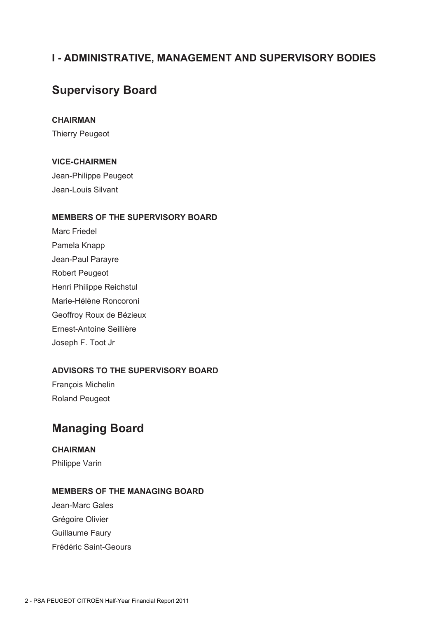# **I - ADMINISTRATIVE, MANAGEMENT AND SUPERVISORY BODIES**

# **Supervisory Board**

## **CHAIRMAN**

Thierry Peugeot

## **VICE-CHAIRMEN**

Jean-Philippe Peugeot Jean-Louis Silvant

## **MEMBERS OF THE SUPERVISORY BOARD**

Marc Friedel Pamela Knapp Jean-Paul Parayre Robert Peugeot Henri Philippe Reichstul Marie-Hélène Roncoroni Geoffroy Roux de Bézieux Ernest-Antoine Seillière Joseph F. Toot Jr

## **ADVISORS TO THE SUPERVISORY BOARD**

François Michelin Roland Peugeot

# **Managing Board**

## **CHAIRMAN**

Philippe Varin

## **MEMBERS OF THE MANAGING BOARD**

Jean-Marc Gales Grégoire Olivier Guillaume Faury Frédéric Saint-Geours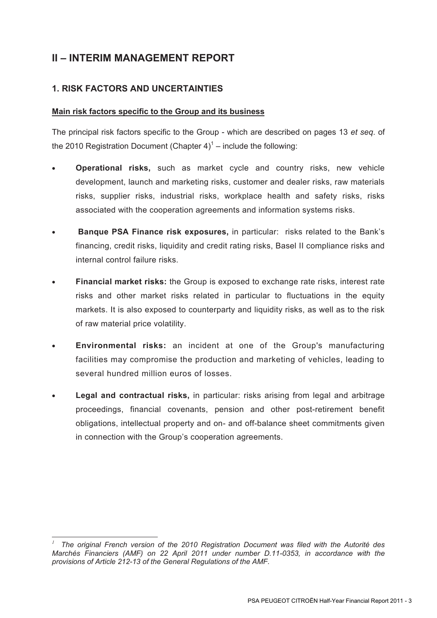# **II – INTERIM MANAGEMENT REPORT**

## **1. RISK FACTORS AND UNCERTAINTIES**

## **Main risk factors specific to the Group and its business**

The principal risk factors specific to the Group - which are described on pages 13 *et seq*. of the 2010 Registration Document (Chapter  $4)^1$  – include the following:

- **Operational risks,** such as market cycle and country risks, new vehicle development, launch and marketing risks, customer and dealer risks, raw materials risks, supplier risks, industrial risks, workplace health and safety risks, risks associated with the cooperation agreements and information systems risks.
- • **Banque PSA Finance risk exposures,** in particular: risks related to the Bank's financing, credit risks, liquidity and credit rating risks, Basel II compliance risks and internal control failure risks.
- **Financial market risks:** the Group is exposed to exchange rate risks, interest rate risks and other market risks related in particular to fluctuations in the equity markets. It is also exposed to counterparty and liquidity risks, as well as to the risk of raw material price volatility.
- **Environmental risks:** an incident at one of the Group's manufacturing facilities may compromise the production and marketing of vehicles, leading to several hundred million euros of losses.
- **Legal and contractual risks,** in particular: risks arising from legal and arbitrage proceedings, financial covenants, pension and other post-retirement benefit obligations, intellectual property and on- and off-balance sheet commitments given in connection with the Group's cooperation agreements.

<sup>-</sup>*<sup>1</sup> The original French version of the 2010 Registration Document was filed with the Autorité des Marchés Financiers (AMF) on 22 April 2011 under number D.11-0353, in accordance with the provisions of Article 212-13 of the General Regulations of the AMF.*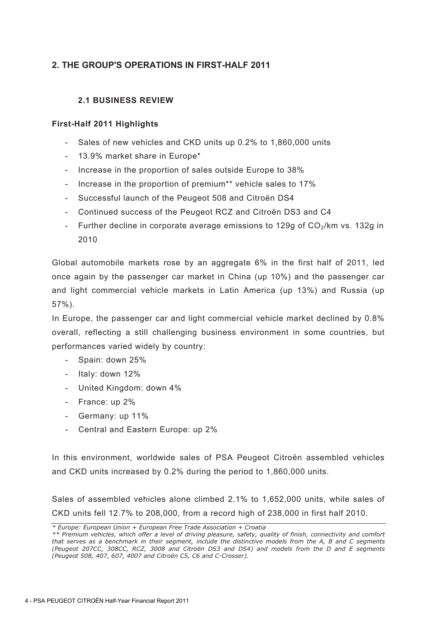## **2. THE GROUP'S OPERATIONS IN FIRST-HALF 2011**

## **2.1 BUSINESS REVIEW**

## **First-Half 2011 Highlights**

- Sales of new vehicles and CKD units up 0.2% to 1,860,000 units
- 13.9% market share in Europe\*
- Increase in the proportion of sales outside Europe to 38%
- Increase in the proportion of premium<sup>\*\*</sup> vehicle sales to 17%
- Successful launch of the Peugeot 508 and Citroën DS4
- Continued success of the Peugeot RCZ and Citroën DS3 and C4
- Further decline in corporate average emissions to 129g of  $CO<sub>2</sub>/km$  vs. 132g in 2010

Global automobile markets rose by an aggregate 6% in the first half of 2011, led once again by the passenger car market in China (up 10%) and the passenger car and light commercial vehicle markets in Latin America (up 13%) and Russia (up 57%).

In Europe, the passenger car and light commercial vehicle market declined by 0.8% overall, reflecting a still challenging business environment in some countries, but performances varied widely by country:

- Spain: down 25%
- Italy: down 12%
- United Kingdom: down 4%
- France: up 2%
- Germany: up 11%
- Central and Eastern Europe: up 2%

In this environment, worldwide sales of PSA Peugeot Citroën assembled vehicles and CKD units increased by 0.2% during the period to 1,860,000 units.

Sales of assembled vehicles alone climbed 2.1% to 1,652,000 units, while sales of CKD units fell 12.7% to 208,000, from a record high of 238,000 in first half 2010.

*<sup>\*</sup> Europe: European Union + European Free Trade Association + Croatia* 

*<sup>\*\*</sup> Premium vehicles, which offer a level of driving pleasure, safety, quality of finish, connectivity and comfort that serves as a benchmark in their segment, include the distinctive models from the A, B and C segments (Peugeot 207CC, 308CC, RCZ, 3008 and Citroën DS3 and DS4) and models from the D and E segments (Peugeot 508, 407, 607, 4007 and Citroën C5, C6 and C-Crosser).*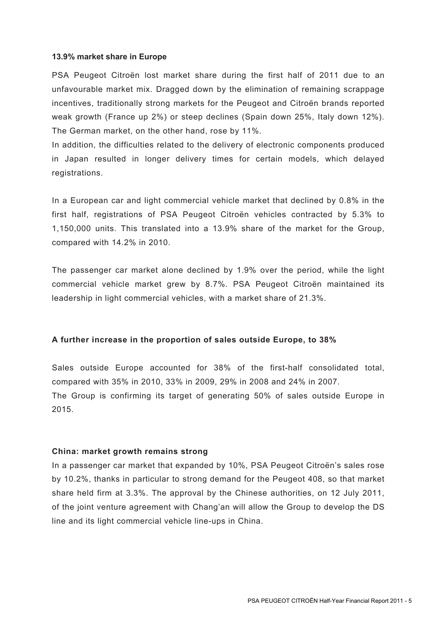### **13.9% market share in Europe**

PSA Peugeot Citroën lost market share during the first half of 2011 due to an unfavourable market mix. Dragged down by the elimination of remaining scrappage incentives, traditionally strong markets for the Peugeot and Citroën brands reported weak growth (France up 2%) or steep declines (Spain down 25%, Italy down 12%). The German market, on the other hand, rose by 11%.

In addition, the difficulties related to the delivery of electronic components produced in Japan resulted in longer delivery times for certain models, which delayed registrations.

In a European car and light commercial vehicle market that declined by 0.8% in the first half, registrations of PSA Peugeot Citroën vehicles contracted by 5.3% to 1,150,000 units. This translated into a 13.9% share of the market for the Group, compared with 14.2% in 2010.

The passenger car market alone declined by 1.9% over the period, while the light commercial vehicle market grew by 8.7%. PSA Peugeot Citroën maintained its leadership in light commercial vehicles, with a market share of 21.3%.

### **A further increase in the proportion of sales outside Europe, to 38%**

Sales outside Europe accounted for 38% of the first-half consolidated total, compared with 35% in 2010, 33% in 2009, 29% in 2008 and 24% in 2007. The Group is confirming its target of generating 50% of sales outside Europe in 2015.

### **China: market growth remains strong**

In a passenger car market that expanded by 10%, PSA Peugeot Citroën's sales rose by 10.2%, thanks in particular to strong demand for the Peugeot 408, so that market share held firm at 3.3%. The approval by the Chinese authorities, on 12 July 2011, of the joint venture agreement with Chang'an will allow the Group to develop the DS line and its light commercial vehicle line-ups in China.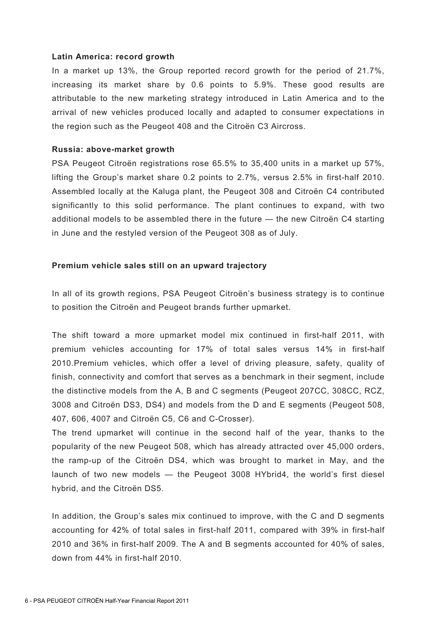### **Latin America: record growth**

In a market up 13%, the Group reported record growth for the period of 21.7%, increasing its market share by 0.6 points to 5.9%. These good results are attributable to the new marketing strategy introduced in Latin America and to the arrival of new vehicles produced locally and adapted to consumer expectations in the region such as the Peugeot 408 and the Citroën C3 Aircross.

### **Russia: above-market growth**

PSA Peugeot Citroën registrations rose 65.5% to 35,400 units in a market up 57%, lifting the Group's market share 0.2 points to 2.7%, versus 2.5% in first-half 2010. Assembled locally at the Kaluga plant, the Peugeot 308 and Citroën C4 contributed significantly to this solid performance. The plant continues to expand, with two additional models to be assembled there in the future — the new Citroën C4 starting in June and the restyled version of the Peugeot 308 as of July.

### **Premium vehicle sales still on an upward trajectory**

In all of its growth regions, PSA Peugeot Citroën's business strategy is to continue to position the Citroën and Peugeot brands further upmarket.

The shift toward a more upmarket model mix continued in first-half 2011, with premium vehicles accounting for 17% of total sales versus 14% in first-half 2010.Premium vehicles, which offer a level of driving pleasure, safety, quality of finish, connectivity and comfort that serves as a benchmark in their segment, include the distinctive models from the A, B and C segments (Peugeot 207CC, 308CC, RCZ, 3008 and Citroën DS3, DS4) and models from the D and E segments (Peugeot 508, 407, 606, 4007 and Citroën C5, C6 and C-Crosser).

The trend upmarket will continue in the second half of the year, thanks to the popularity of the new Peugeot 508, which has already attracted over 45,000 orders, the ramp-up of the Citroën DS4, which was brought to market in May, and the launch of two new models — the Peugeot 3008 HYbrid4, the world's first diesel hybrid, and the Citroën DS5.

In addition, the Group's sales mix continued to improve, with the C and D segments accounting for 42% of total sales in first-half 2011, compared with 39% in first-half 2010 and 36% in first-half 2009. The A and B segments accounted for 40% of sales, down from 44% in first-half 2010.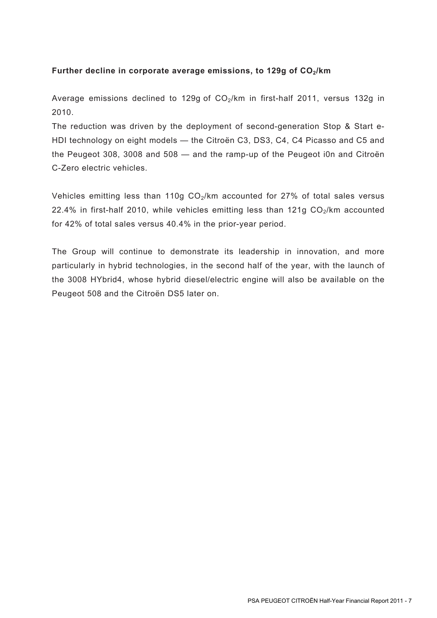## Further decline in corporate average emissions, to 129g of CO<sub>2</sub>/km

Average emissions declined to 129g of  $CO<sub>2</sub>/km$  in first-half 2011, versus 132g in 2010.

The reduction was driven by the deployment of second-generation Stop & Start e-HDI technology on eight models — the Citroën C3, DS3, C4, C4 Picasso and C5 and the Peugeot 308, 3008 and 508 — and the ramp-up of the Peugeot i0n and Citroën C-Zero electric vehicles.

Vehicles emitting less than 110g  $CO<sub>2</sub>/km$  accounted for 27% of total sales versus 22.4% in first-half 2010, while vehicles emitting less than 121g  $CO<sub>2</sub>/km$  accounted for 42% of total sales versus 40.4% in the prior-year period.

The Group will continue to demonstrate its leadership in innovation, and more particularly in hybrid technologies, in the second half of the year, with the launch of the 3008 HYbrid4, whose hybrid diesel/electric engine will also be available on the Peugeot 508 and the Citroën DS5 later on.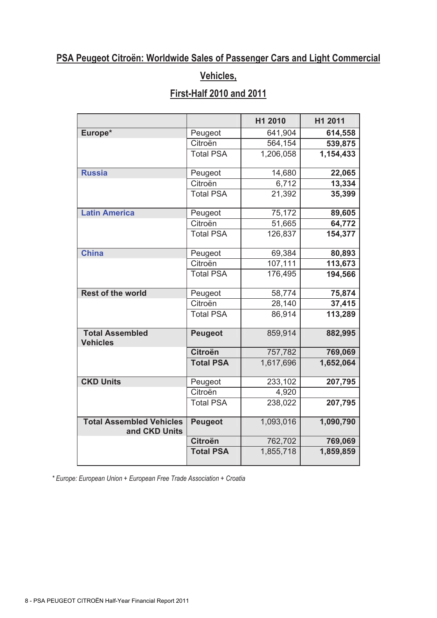# **PSA Peugeot Citroën: Worldwide Sales of Passenger Cars and Light Commercial**

# **Vehicles,**

# **First-Half 2010 and 2011**

|                                                  |                  | H1 2010   | H1 2011   |
|--------------------------------------------------|------------------|-----------|-----------|
| Europe*                                          | Peugeot          | 641,904   | 614,558   |
|                                                  | Citroën          | 564,154   | 539,875   |
|                                                  | <b>Total PSA</b> | 1,206,058 | 1,154,433 |
| <b>Russia</b>                                    | Peugeot          | 14,680    | 22,065    |
|                                                  | Citroën          | 6,712     | 13,334    |
|                                                  | <b>Total PSA</b> | 21,392    | 35,399    |
| <b>Latin America</b>                             | Peugeot          | 75,172    | 89,605    |
|                                                  | Citroën          | 51,665    | 64,772    |
|                                                  | <b>Total PSA</b> | 126,837   | 154,377   |
| <b>China</b>                                     | Peugeot          | 69,384    | 80,893    |
|                                                  | Citroën          | 107,111   | 113,673   |
|                                                  | <b>Total PSA</b> | 176,495   | 194,566   |
| <b>Rest of the world</b>                         | Peugeot          | 58,774    | 75,874    |
|                                                  | Citroën          | 28,140    | 37,415    |
|                                                  | <b>Total PSA</b> | 86,914    | 113,289   |
| <b>Total Assembled</b><br><b>Vehicles</b>        | <b>Peugeot</b>   | 859,914   | 882,995   |
|                                                  | <b>Citroën</b>   | 757,782   | 769,069   |
|                                                  | <b>Total PSA</b> | 1,617,696 | 1,652,064 |
| <b>CKD Units</b>                                 | Peugeot          | 233,102   | 207,795   |
|                                                  | Citroën          | 4,920     |           |
|                                                  | <b>Total PSA</b> | 238,022   | 207,795   |
| <b>Total Assembled Vehicles</b><br>and CKD Units | <b>Peugeot</b>   | 1,093,016 | 1,090,790 |
|                                                  | <b>Citroën</b>   | 762,702   | 769,069   |
|                                                  | <b>Total PSA</b> | 1,855,718 | 1,859,859 |

*\* Europe: European Union + European Free Trade Association + Croatia*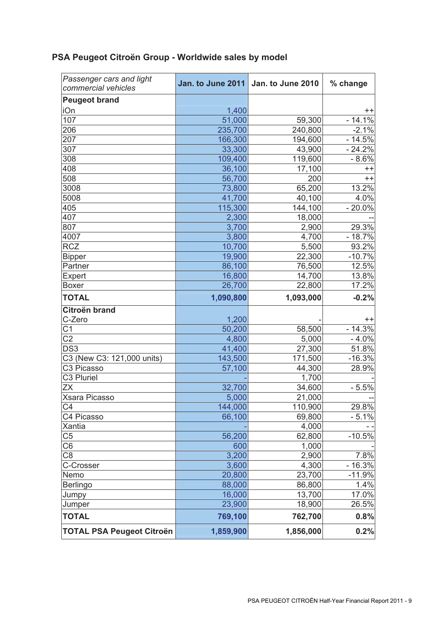| <u>. On Fedgent Ulting: Dinner Finning Sailes by Illnue!</u> |       |                                     |          |  |  |  |
|--------------------------------------------------------------|-------|-------------------------------------|----------|--|--|--|
| Passenger cars and light<br>commercial vehicles              |       | Jan. to June 2011 Jan. to June 2010 | % change |  |  |  |
| <b>Peugeot brand</b>                                         |       |                                     |          |  |  |  |
| iOn                                                          | 1,400 |                                     |          |  |  |  |
| 107                                                          |       | EQ 3001                             |          |  |  |  |

## **PSA Peugeot Citroën Group - Worldwide sales by model**

| 1,400     |                               | $+ +$                               |
|-----------|-------------------------------|-------------------------------------|
| 51,000    | 59,300                        | $-14.1%$                            |
| 235,700   | 240,800                       | $-2.1%$                             |
| 166,300   | 194,600                       | $-14.5%$                            |
| 33,300    | 43,900                        | $-24.2%$                            |
| 109,400   | 119,600                       | $-8.6%$                             |
| 36,100    | 17,100                        | $++$                                |
| 56,700    | 200                           | $++$                                |
| 73,800    | 65,200                        | 13.2%                               |
| 41,700    | 40,100                        | 4.0%                                |
| 115,300   | 144,100                       | $-20.0%$                            |
| 2,300     | 18,000                        |                                     |
| 3,700     | 2,900                         | 29.3%                               |
| 3,800     | 4,700                         | $-18.7%$                            |
| 10,700    | 5,500                         | 93.2%                               |
| 19,900    | 22,300                        | $-10.7%$                            |
| 86,100    | 76,500                        | 12.5%                               |
| 16,800    | 14,700                        | 13.8%                               |
| 26,700    | 22,800                        | 17.2%                               |
| 1,090,800 | 1,093,000                     | $-0.2%$                             |
|           |                               |                                     |
| 1,200     |                               | $^{++}$                             |
| 50,200    | 58,500                        | $-14.3%$                            |
| 4,800     | 5,000                         | $-4.0%$                             |
| 41,400    | 27,300                        | 51.8%                               |
| 143,500   | 171,500                       | $-16.3%$                            |
| 57,100    | 44,300                        | 28.9%                               |
|           |                               |                                     |
| 32,700    | 34,600                        | $-5.5%$                             |
| 5,000     | 21,000                        |                                     |
| 144,000   |                               | 29.8%                               |
| 66,100    | 69,800                        | $-5.1%$                             |
|           |                               | $- -$                               |
|           | 62,800                        | $-10.5%$                            |
| 600       | 1,000                         |                                     |
| 3,200     | 2,900                         | 7.8%                                |
| 3,600     | 4,300                         | $-16.3%$                            |
| 20,800    | 23,700                        | $-11.9%$                            |
| 88,000    | 86,800                        | 1.4%                                |
| 16,000    | 13,700                        | 17.0%                               |
|           |                               | 26.5%                               |
| 769,100   | 762,700                       | 0.8%                                |
|           | 1,856,000                     | 0.2%                                |
|           | 56,200<br>23,900<br>1,859,900 | 1,700<br>110,900<br>4,000<br>18,900 |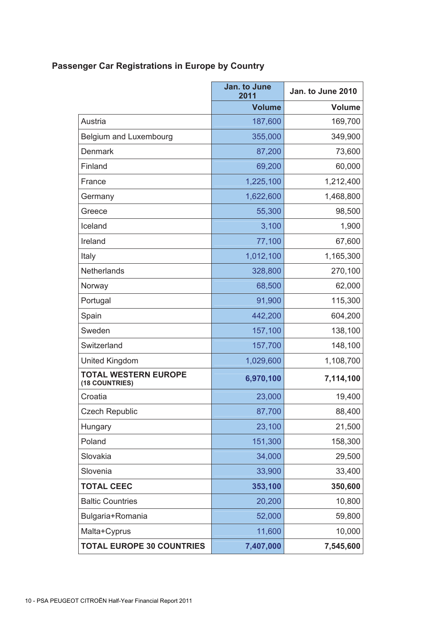# **Passenger Car Registrations in Europe by Country**

|                                               | Jan. to June<br>2011 | Jan. to June 2010 |
|-----------------------------------------------|----------------------|-------------------|
|                                               | <b>Volume</b>        | <b>Volume</b>     |
| Austria                                       | 187,600              | 169,700           |
| Belgium and Luxembourg                        | 355,000              | 349,900           |
| <b>Denmark</b>                                | 87,200               | 73,600            |
| Finland                                       | 69,200               | 60,000            |
| France                                        | 1,225,100            | 1,212,400         |
| Germany                                       | 1,622,600            | 1,468,800         |
| Greece                                        | 55,300               | 98,500            |
| Iceland                                       | 3,100                | 1,900             |
| Ireland                                       | 77,100               | 67,600            |
| Italy                                         | 1,012,100            | 1,165,300         |
| Netherlands                                   | 328,800              | 270,100           |
| Norway                                        | 68,500               | 62,000            |
| Portugal                                      | 91,900               | 115,300           |
| Spain                                         | 442,200              | 604,200           |
| Sweden                                        | 157,100              | 138,100           |
| Switzerland                                   | 157,700              | 148,100           |
| United Kingdom                                | 1,029,600            | 1,108,700         |
| <b>TOTAL WESTERN EUROPE</b><br>(18 COUNTRIES) | 6,970,100            | 7,114,100         |
| Croatia                                       | 23,000               | 19,400            |
| <b>Czech Republic</b>                         | 87,700               | 88,400            |
| Hungary                                       | 23,100               | 21,500            |
| Poland                                        | 151,300              | 158,300           |
| Slovakia                                      | 34,000               | 29,500            |
| Slovenia                                      | 33,900               | 33,400            |
| <b>TOTAL CEEC</b>                             | 353,100              | 350,600           |
| <b>Baltic Countries</b>                       | 20,200               | 10,800            |
| Bulgaria+Romania                              | 52,000               | 59,800            |
| Malta+Cyprus                                  | 11,600               | 10,000            |
| <b>TOTAL EUROPE 30 COUNTRIES</b>              | 7,407,000            | 7,545,600         |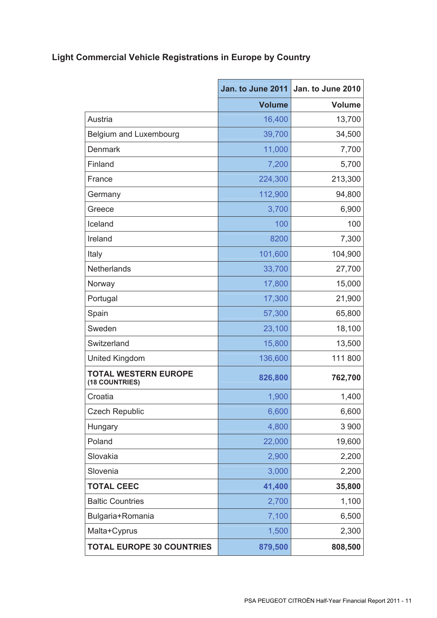# **Light Commercial Vehicle Registrations in Europe by Country**

|                                               | Jan. to June 2011 | Jan. to June 2010 |
|-----------------------------------------------|-------------------|-------------------|
|                                               | <b>Volume</b>     | <b>Volume</b>     |
| Austria                                       | 16,400            | 13,700            |
| Belgium and Luxembourg                        | 39,700            | 34,500            |
| <b>Denmark</b>                                | 11,000            | 7,700             |
| Finland                                       | 7,200             | 5,700             |
| France                                        | 224,300           | 213,300           |
| Germany                                       | 112,900           | 94,800            |
| Greece                                        | 3,700             | 6,900             |
| Iceland                                       | 100               | 100               |
| Ireland                                       | 8200              | 7,300             |
| Italy                                         | 101,600           | 104,900           |
| Netherlands                                   | 33,700            | 27,700            |
| Norway                                        | 17,800            | 15,000            |
| Portugal                                      | 17,300            | 21,900            |
| Spain                                         | 57,300            | 65,800            |
| Sweden                                        | 23,100            | 18,100            |
| Switzerland                                   | 15,800            | 13,500            |
| <b>United Kingdom</b>                         | 136,600           | 111 800           |
| <b>TOTAL WESTERN EUROPE</b><br>(18 COUNTRIES) | 826,800           | 762,700           |
| Croatia                                       | 1,900             | 1,400             |
| <b>Czech Republic</b>                         | 6,600             | 6,600             |
| Hungary                                       | 4,800             | 3 900             |
| Poland                                        | 22,000            | 19,600            |
| Slovakia                                      | 2,900             | 2,200             |
| Slovenia                                      | 3,000             | 2,200             |
| <b>TOTAL CEEC</b>                             | 41,400            | 35,800            |
| <b>Baltic Countries</b>                       | 2,700             | 1,100             |
| Bulgaria+Romania                              | 7,100             | 6,500             |
| Malta+Cyprus                                  | 1,500             | 2,300             |
| <b>TOTAL EUROPE 30 COUNTRIES</b>              | 879,500           | 808,500           |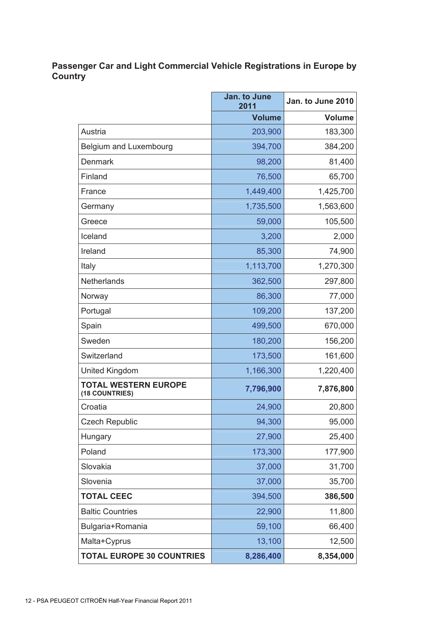## **Passenger Car and Light Commercial Vehicle Registrations in Europe by Country**

|                                               | Jan. to June<br>2011 | Jan. to June 2010 |
|-----------------------------------------------|----------------------|-------------------|
|                                               | <b>Volume</b>        | <b>Volume</b>     |
| Austria                                       | 203,900              | 183,300           |
| Belgium and Luxembourg                        | 394,700              | 384,200           |
| <b>Denmark</b>                                | 98,200               | 81,400            |
| Finland                                       | 76,500               | 65,700            |
| France                                        | 1,449,400            | 1,425,700         |
| Germany                                       | 1,735,500            | 1,563,600         |
| Greece                                        | 59,000               | 105,500           |
| Iceland                                       | 3,200                | 2,000             |
| Ireland                                       | 85,300               | 74,900            |
| Italy                                         | 1,113,700            | 1,270,300         |
| Netherlands                                   | 362,500              | 297,800           |
| Norway                                        | 86,300               | 77,000            |
| Portugal                                      | 109,200              | 137,200           |
| Spain                                         | 499,500              | 670,000           |
| Sweden                                        | 180,200              | 156,200           |
| Switzerland                                   | 173,500              | 161,600           |
| United Kingdom                                | 1,166,300            | 1,220,400         |
| <b>TOTAL WESTERN EUROPE</b><br>(18 COUNTRIES) | 7,796,900            | 7,876,800         |
| Croatia                                       | 24,900               | 20,800            |
| <b>Czech Republic</b>                         | 94,300               | 95,000            |
| Hungary                                       | 27,900               | 25,400            |
| Poland                                        | 173,300              | 177,900           |
| Slovakia                                      | 37,000               | 31,700            |
| Slovenia                                      | 37,000               | 35,700            |
| <b>TOTAL CEEC</b>                             | 394,500              | 386,500           |
| <b>Baltic Countries</b>                       | 22,900               | 11,800            |
| Bulgaria+Romania                              | 59,100               | 66,400            |
| Malta+Cyprus                                  | 13,100               | 12,500            |
| <b>TOTAL EUROPE 30 COUNTRIES</b>              | 8,286,400            | 8,354,000         |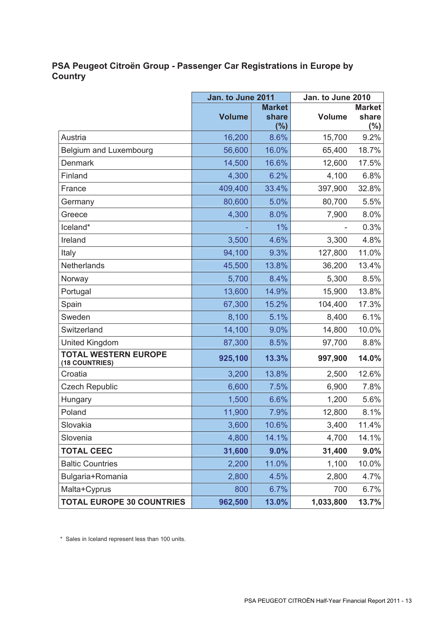## **PSA Peugeot Citroën Group - Passenger Car Registrations in Europe by Country**

|                                               | Jan. to June 2011 |                               | Jan. to June 2010 |                                  |
|-----------------------------------------------|-------------------|-------------------------------|-------------------|----------------------------------|
|                                               | <b>Volume</b>     | <b>Market</b><br>share<br>(%) | <b>Volume</b>     | <b>Market</b><br>share<br>$(\%)$ |
| Austria                                       | 16,200            | 8.6%                          | 15,700            | 9.2%                             |
| Belgium and Luxembourg                        | 56,600            | 16.0%                         | 65,400            | 18.7%                            |
| Denmark                                       | 14,500            | 16.6%                         | 12,600            | 17.5%                            |
| Finland                                       | 4,300             | 6.2%                          | 4,100             | 6.8%                             |
| France                                        | 409,400           | 33.4%                         | 397,900           | 32.8%                            |
| Germany                                       | 80,600            | 5.0%                          | 80,700            | 5.5%                             |
| Greece                                        | 4,300             | 8.0%                          | 7,900             | 8.0%                             |
| Iceland*                                      |                   | 1%                            |                   | 0.3%                             |
| Ireland                                       | 3,500             | 4.6%                          | 3,300             | 4.8%                             |
| Italy                                         | 94,100            | 9.3%                          | 127,800           | 11.0%                            |
| Netherlands                                   | 45,500            | 13.8%                         | 36,200            | 13.4%                            |
| Norway                                        | 5,700             | 8.4%                          | 5,300             | 8.5%                             |
| Portugal                                      | 13,600            | 14.9%                         | 15,900            | 13.8%                            |
| Spain                                         | 67,300            | 15.2%                         | 104,400           | 17.3%                            |
| Sweden                                        | 8,100             | 5.1%                          | 8,400             | 6.1%                             |
| Switzerland                                   | 14,100            | 9.0%                          | 14,800            | 10.0%                            |
| United Kingdom                                | 87,300            | 8.5%                          | 97,700            | 8.8%                             |
| <b>TOTAL WESTERN EUROPE</b><br>(18 COUNTRIES) | 925,100           | 13.3%                         | 997,900           | 14.0%                            |
| Croatia                                       | 3,200             | 13.8%                         | 2,500             | 12.6%                            |
| <b>Czech Republic</b>                         | 6,600             | 7.5%                          | 6,900             | 7.8%                             |
| Hungary                                       | 1,500             | 6.6%                          | 1,200             | 5.6%                             |
| Poland                                        | 11,900            | 7.9%                          | 12,800            | 8.1%                             |
| Slovakia                                      | 3,600             | 10.6%                         | 3,400             | 11.4%                            |
| Slovenia                                      | 4,800             | 14.1%                         | 4,700             | 14.1%                            |
| <b>TOTAL CEEC</b>                             | 31,600            | 9.0%                          | 31,400            | 9.0%                             |
| <b>Baltic Countries</b>                       | 2,200             | 11.0%                         | 1,100             | 10.0%                            |
| Bulgaria+Romania                              | 2,800             | 4.5%                          | 2,800             | 4.7%                             |
| Malta+Cyprus                                  | 800               | 6.7%                          | 700               | 6.7%                             |
| <b>TOTAL EUROPE 30 COUNTRIES</b>              | 962,500           | 13.0%                         | 1,033,800         | 13.7%                            |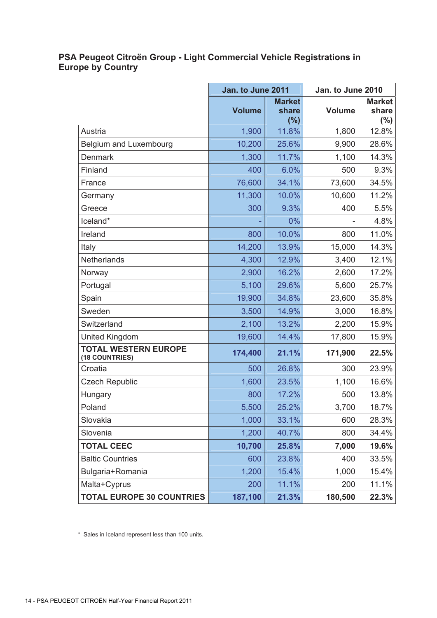## **PSA Peugeot Citroën Group - Light Commercial Vehicle Registrations in Europe by Country**

|                                               | Jan. to June 2011 |                                  | Jan. to June 2010 |                                  |
|-----------------------------------------------|-------------------|----------------------------------|-------------------|----------------------------------|
|                                               | <b>Volume</b>     | <b>Market</b><br>share<br>$(\%)$ | <b>Volume</b>     | <b>Market</b><br>share<br>$(\%)$ |
| Austria                                       | 1,900             | 11.8%                            | 1,800             | 12.8%                            |
| Belgium and Luxembourg                        | 10,200            | 25.6%                            | 9,900             | 28.6%                            |
| <b>Denmark</b>                                | 1,300             | 11.7%                            | 1,100             | 14.3%                            |
| Finland                                       | 400               | 6.0%                             | 500               | 9.3%                             |
| France                                        | 76,600            | 34.1%                            | 73,600            | 34.5%                            |
| Germany                                       | 11,300            | 10.0%                            | 10,600            | 11.2%                            |
| Greece                                        | 300               | 9.3%                             | 400               | 5.5%                             |
| Iceland*                                      |                   | 0%                               |                   | 4.8%                             |
| Ireland                                       | 800               | 10.0%                            | 800               | 11.0%                            |
| Italy                                         | 14,200            | 13.9%                            | 15,000            | 14.3%                            |
| <b>Netherlands</b>                            | 4,300             | 12.9%                            | 3,400             | 12.1%                            |
| Norway                                        | 2,900             | 16.2%                            | 2,600             | 17.2%                            |
| Portugal                                      | 5,100             | 29.6%                            | 5,600             | 25.7%                            |
| Spain                                         | 19,900            | 34.8%                            | 23,600            | 35.8%                            |
| Sweden                                        | 3,500             | 14.9%                            | 3,000             | 16.8%                            |
| Switzerland                                   | 2,100             | 13.2%                            | 2,200             | 15.9%                            |
| <b>United Kingdom</b>                         | 19,600            | 14.4%                            | 17,800            | 15.9%                            |
| <b>TOTAL WESTERN EUROPE</b><br>(18 COUNTRIES) | 174,400           | 21.1%                            | 171,900           | 22.5%                            |
| Croatia                                       | 500               | 26.8%                            | 300               | 23.9%                            |
| <b>Czech Republic</b>                         | 1,600             | 23.5%                            | 1,100             | 16.6%                            |
| Hungary                                       | 800               | 17.2%                            | 500               | 13.8%                            |
| Poland                                        | 5,500             | 25.2%                            | 3,700             | 18.7%                            |
| Slovakia                                      | 1,000             | 33.1%                            | 600               | 28.3%                            |
| Slovenia                                      | 1,200             | 40.7%                            | 800               | 34.4%                            |
| <b>TOTAL CEEC</b>                             | 10,700            | 25.8%                            | 7,000             | 19.6%                            |
| <b>Baltic Countries</b>                       | 600               | 23.8%                            | 400               | 33.5%                            |
| Bulgaria+Romania                              | 1,200             | 15.4%                            | 1,000             | 15.4%                            |
| Malta+Cyprus                                  | 200               | 11.1%                            | 200               | 11.1%                            |
| <b>TOTAL EUROPE 30 COUNTRIES</b>              | 187,100           | 21.3%                            | 180,500           | 22.3%                            |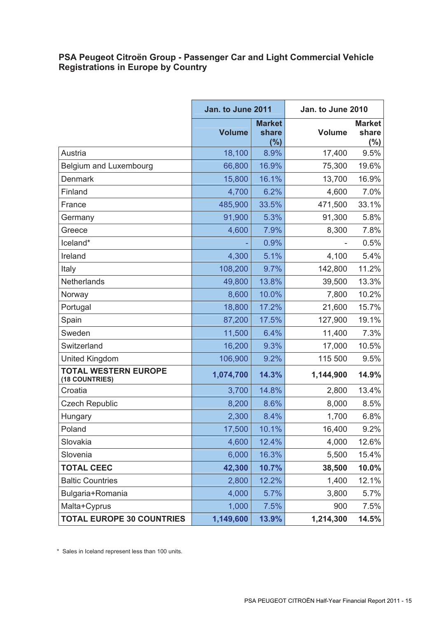## **PSA Peugeot Citroën Group - Passenger Car and Light Commercial Vehicle Registrations in Europe by Country**

|                                               | Jan. to June 2011 |                               | Jan. to June 2010 |                                  |
|-----------------------------------------------|-------------------|-------------------------------|-------------------|----------------------------------|
|                                               | <b>Volume</b>     | <b>Market</b><br>share<br>(%) | <b>Volume</b>     | <b>Market</b><br>share<br>$(\%)$ |
| Austria                                       | 18,100            | 8.9%                          | 17,400            | 9.5%                             |
| Belgium and Luxembourg                        | 66,800            | 16.9%                         | 75,300            | 19.6%                            |
| <b>Denmark</b>                                | 15,800            | 16.1%                         | 13,700            | 16.9%                            |
| Finland                                       | 4,700             | 6.2%                          | 4,600             | 7.0%                             |
| France                                        | 485,900           | 33.5%                         | 471,500           | 33.1%                            |
| Germany                                       | 91,900            | 5.3%                          | 91,300            | 5.8%                             |
| Greece                                        | 4,600             | 7.9%                          | 8,300             | 7.8%                             |
| Iceland*                                      |                   | 0.9%                          |                   | 0.5%                             |
| Ireland                                       | 4,300             | 5.1%                          | 4,100             | 5.4%                             |
| Italy                                         | 108,200           | 9.7%                          | 142,800           | 11.2%                            |
| Netherlands                                   | 49,800            | 13.8%                         | 39,500            | 13.3%                            |
| Norway                                        | 8,600             | 10.0%                         | 7,800             | 10.2%                            |
| Portugal                                      | 18,800            | 17.2%                         | 21,600            | 15.7%                            |
| Spain                                         | 87,200            | 17.5%                         | 127,900           | 19.1%                            |
| Sweden                                        | 11,500            | 6.4%                          | 11,400            | 7.3%                             |
| Switzerland                                   | 16,200            | 9.3%                          | 17,000            | 10.5%                            |
| <b>United Kingdom</b>                         | 106,900           | 9.2%                          | 115 500           | 9.5%                             |
| <b>TOTAL WESTERN EUROPE</b><br>(18 COUNTRIES) | 1,074,700         | 14.3%                         | 1,144,900         | 14.9%                            |
| Croatia                                       | 3,700             | 14.8%                         | 2,800             | 13.4%                            |
| <b>Czech Republic</b>                         | 8,200             | 8.6%                          | 8,000             | 8.5%                             |
| Hungary                                       | 2,300             | 8.4%                          | 1,700             | 6.8%                             |
| Poland                                        | 17,500            | 10.1%                         | 16,400            | 9.2%                             |
| Slovakia                                      | 4,600             | 12.4%                         | 4,000             | 12.6%                            |
| Slovenia                                      | 6,000             | 16.3%                         | 5,500             | 15.4%                            |
| <b>TOTAL CEEC</b>                             | 42,300            | 10.7%                         | 38,500            | 10.0%                            |
| <b>Baltic Countries</b>                       | 2,800             | 12.2%                         | 1,400             | 12.1%                            |
| Bulgaria+Romania                              | 4,000             | 5.7%                          | 3,800             | 5.7%                             |
| Malta+Cyprus                                  | 1,000             | 7.5%                          | 900               | 7.5%                             |
| <b>TOTAL EUROPE 30 COUNTRIES</b>              | 1,149,600         | 13.9%                         | 1,214,300         | 14.5%                            |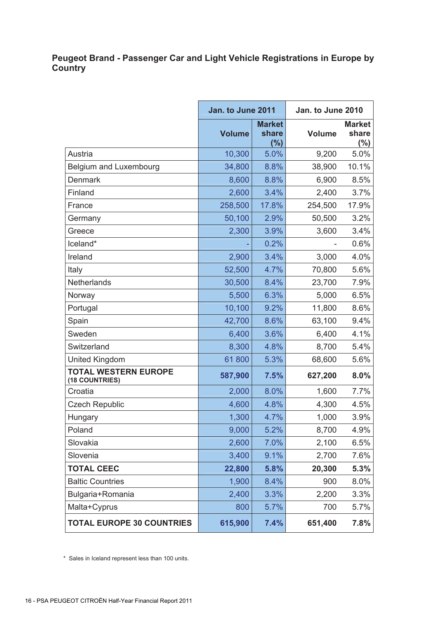## **Peugeot Brand - Passenger Car and Light Vehicle Registrations in Europe by Country**

|                                               | Jan. to June 2011 |                                   | Jan. to June 2010 |                                   |
|-----------------------------------------------|-------------------|-----------------------------------|-------------------|-----------------------------------|
|                                               | <b>Volume</b>     | <b>Market</b><br>share<br>$(\% )$ | <b>Volume</b>     | <b>Market</b><br>share<br>$(\% )$ |
| Austria                                       | 10,300            | 5.0%                              | 9,200             | 5.0%                              |
| Belgium and Luxembourg                        | 34,800            | 8.8%                              | 38,900            | 10.1%                             |
| <b>Denmark</b>                                | 8,600             | 8.8%                              | 6,900             | 8.5%                              |
| Finland                                       | 2,600             | 3.4%                              | 2,400             | 3.7%                              |
| France                                        | 258,500           | 17.8%                             | 254,500           | 17.9%                             |
| Germany                                       | 50,100            | 2.9%                              | 50,500            | 3.2%                              |
| Greece                                        | 2,300             | 3.9%                              | 3,600             | 3.4%                              |
| Iceland*                                      |                   | 0.2%                              |                   | 0.6%                              |
| Ireland                                       | 2,900             | 3.4%                              | 3,000             | 4.0%                              |
| Italy                                         | 52,500            | 4.7%                              | 70,800            | 5.6%                              |
| Netherlands                                   | 30,500            | 8.4%                              | 23,700            | 7.9%                              |
| Norway                                        | 5,500             | 6.3%                              | 5,000             | 6.5%                              |
| Portugal                                      | 10,100            | 9.2%                              | 11,800            | 8.6%                              |
| Spain                                         | 42,700            | 8.6%                              | 63,100            | 9.4%                              |
| Sweden                                        | 6,400             | 3.6%                              | 6,400             | 4.1%                              |
| Switzerland                                   | 8,300             | 4.8%                              | 8,700             | 5.4%                              |
| <b>United Kingdom</b>                         | 61800             | 5.3%                              | 68,600            | 5.6%                              |
| <b>TOTAL WESTERN EUROPE</b><br>(18 COUNTRIES) | 587,900           | 7.5%                              | 627,200           | 8.0%                              |
| Croatia                                       | 2,000             | 8.0%                              | 1,600             | 7.7%                              |
| <b>Czech Republic</b>                         | 4,600             | 4.8%                              | 4,300             | 4.5%                              |
| Hungary                                       | 1,300             | 4.7%                              | 1,000             | 3.9%                              |
| Poland                                        | 9,000             | 5.2%                              | 8,700             | 4.9%                              |
| Slovakia                                      | 2,600             | 7.0%                              | 2,100             | 6.5%                              |
| Slovenia                                      | 3,400             | 9.1%                              | 2,700             | 7.6%                              |
| <b>TOTAL CEEC</b>                             | 22,800            | 5.8%                              | 20,300            | 5.3%                              |
| <b>Baltic Countries</b>                       | 1,900             | 8.4%                              | 900               | 8.0%                              |
| Bulgaria+Romania                              | 2,400             | 3.3%                              | 2,200             | 3.3%                              |
| Malta+Cyprus                                  | 800               | 5.7%                              | 700               | 5.7%                              |
| <b>TOTAL EUROPE 30 COUNTRIES</b>              | 615,900           | 7.4%                              | 651,400           | 7.8%                              |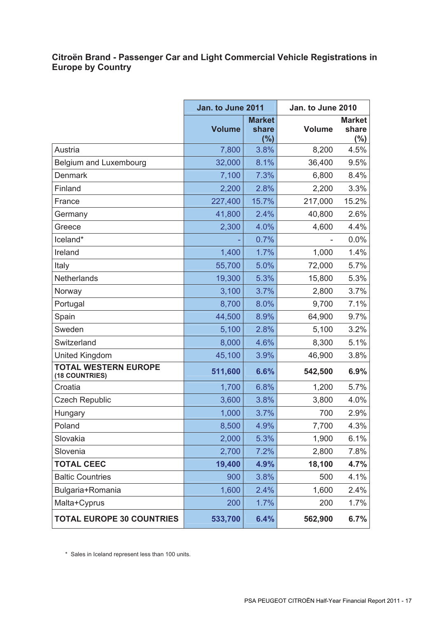## **Citroën Brand - Passenger Car and Light Commercial Vehicle Registrations in Europe by Country**

|                                               | Jan. to June 2011 |                               | Jan. to June 2010 |                                   |
|-----------------------------------------------|-------------------|-------------------------------|-------------------|-----------------------------------|
|                                               | <b>Volume</b>     | <b>Market</b><br>share<br>(%) | <b>Volume</b>     | <b>Market</b><br>share<br>$(\% )$ |
| Austria                                       | 7,800             | 3.8%                          | 8,200             | 4.5%                              |
| Belgium and Luxembourg                        | 32,000            | 8.1%                          | 36,400            | 9.5%                              |
| <b>Denmark</b>                                | 7,100             | 7.3%                          | 6,800             | 8.4%                              |
| Finland                                       | 2,200             | 2.8%                          | 2,200             | 3.3%                              |
| France                                        | 227,400           | 15.7%                         | 217,000           | 15.2%                             |
| Germany                                       | 41,800            | 2.4%                          | 40,800            | 2.6%                              |
| Greece                                        | 2,300             | 4.0%                          | 4,600             | 4.4%                              |
| Iceland*                                      |                   | 0.7%                          |                   | 0.0%                              |
| Ireland                                       | 1,400             | 1.7%                          | 1,000             | 1.4%                              |
| Italy                                         | 55,700            | 5.0%                          | 72,000            | 5.7%                              |
| Netherlands                                   | 19,300            | 5.3%                          | 15,800            | 5.3%                              |
| Norway                                        | 3,100             | 3.7%                          | 2,800             | 3.7%                              |
| Portugal                                      | 8,700             | 8.0%                          | 9,700             | 7.1%                              |
| Spain                                         | 44,500            | 8.9%                          | 64,900            | 9.7%                              |
| Sweden                                        | 5,100             | 2.8%                          | 5,100             | 3.2%                              |
| Switzerland                                   | 8,000             | 4.6%                          | 8,300             | 5.1%                              |
| United Kingdom                                | 45,100            | 3.9%                          | 46,900            | 3.8%                              |
| <b>TOTAL WESTERN EUROPE</b><br>(18 COUNTRIES) | 511,600           | 6.6%                          | 542,500           | 6.9%                              |
| Croatia                                       | 1,700             | 6.8%                          | 1,200             | 5.7%                              |
| <b>Czech Republic</b>                         | 3,600             | 3.8%                          | 3,800             | 4.0%                              |
| Hungary                                       | 1,000             | 3.7%                          | 700               | 2.9%                              |
| Poland                                        | 8,500             | 4.9%                          | 7,700             | 4.3%                              |
| Slovakia                                      | 2,000             | 5.3%                          | 1,900             | 6.1%                              |
| Slovenia                                      | 2,700             | 7.2%                          | 2,800             | 7.8%                              |
| <b>TOTAL CEEC</b>                             | 19,400            | 4.9%                          | 18,100            | 4.7%                              |
| <b>Baltic Countries</b>                       | 900               | 3.8%                          | 500               | 4.1%                              |
| Bulgaria+Romania                              | 1,600             | 2.4%                          | 1,600             | 2.4%                              |
| Malta+Cyprus                                  | 200               | 1.7%                          | 200               | 1.7%                              |
| <b>TOTAL EUROPE 30 COUNTRIES</b>              | 533,700           | 6.4%                          | 562,900           | 6.7%                              |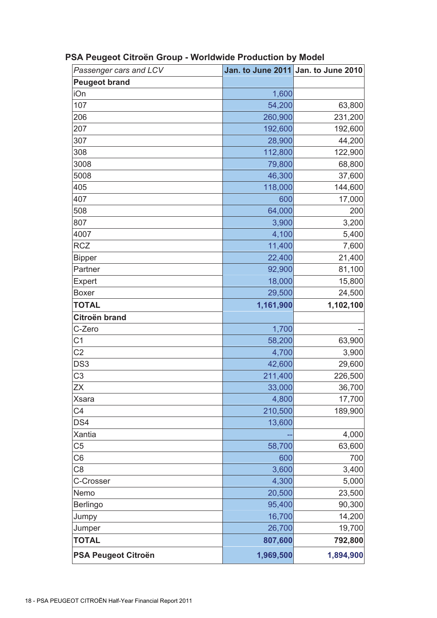| Passenger cars and LCV     |           | Jan. to June 2011 Jan. to June 2010 |
|----------------------------|-----------|-------------------------------------|
| <b>Peugeot brand</b>       |           |                                     |
| iOn                        | 1,600     |                                     |
| 107                        | 54,200    | 63,800                              |
| 206                        | 260,900   | 231,200                             |
| 207                        | 192,600   | 192,600                             |
| 307                        | 28,900    | 44,200                              |
| 308                        | 112,800   | 122,900                             |
| 3008                       | 79,800    | 68,800                              |
| 5008                       | 46,300    | 37,600                              |
| 405                        | 118,000   | 144,600                             |
| 407                        | 600       | 17,000                              |
| 508                        | 64,000    | 200                                 |
| 807                        | 3,900     | 3,200                               |
| 4007                       | 4,100     | 5,400                               |
| <b>RCZ</b>                 | 11,400    | 7,600                               |
| <b>Bipper</b>              | 22,400    | 21,400                              |
| Partner                    | 92,900    | 81,100                              |
| Expert                     | 18,000    | 15,800                              |
| <b>Boxer</b>               | 29,500    | 24,500                              |
| <b>TOTAL</b>               | 1,161,900 | 1,102,100                           |
| Citroën brand              |           |                                     |
| C-Zero                     | 1,700     |                                     |
| C <sub>1</sub>             | 58,200    | 63,900                              |
| C <sub>2</sub>             | 4,700     | 3,900                               |
| DS <sub>3</sub>            | 42,600    | 29,600                              |
| C <sub>3</sub>             | 211,400   | 226,500                             |
| ZΧ                         | 33,000    | 36,700                              |
| <b>Xsara</b>               | 4,800     | 17,700                              |
| C4                         | 210,500   | 189,900                             |
| DS4                        | 13,600    |                                     |
| Xantia                     |           | 4,000                               |
| C <sub>5</sub>             | 58,700    | 63,600                              |
| C6                         | 600       | 700                                 |
| C <sub>8</sub>             | 3,600     | 3,400                               |
| C-Crosser                  | 4,300     | 5,000                               |
| Nemo                       | 20,500    | 23,500                              |
| <b>Berlingo</b>            | 95,400    | 90,300                              |
| Jumpy                      | 16,700    | 14,200                              |
| Jumper                     | 26,700    | 19,700                              |
| <b>TOTAL</b>               | 807,600   | 792,800                             |
| <b>PSA Peugeot Citroën</b> | 1,969,500 | 1,894,900                           |

# **PSA Peugeot Citroën Group - Worldwide Production by Model**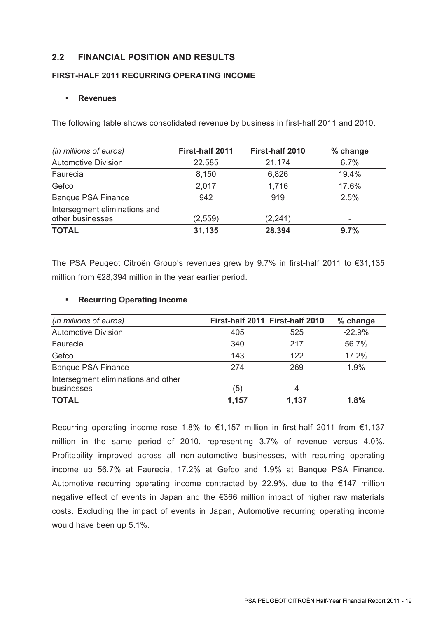## **2.2 FINANCIAL POSITION AND RESULTS**

## **FIRST-HALF 2011 RECURRING OPERATING INCOME**

### **Revenues**

The following table shows consolidated revenue by business in first-half 2011 and 2010.

| (in millions of euros)        | First-half 2011 | First-half 2010 | % change |
|-------------------------------|-----------------|-----------------|----------|
| <b>Automotive Division</b>    | 22,585          | 21,174          | 6.7%     |
| Faurecia                      | 8,150           | 6,826           | 19.4%    |
| Gefco                         | 2,017           | 1,716           | 17.6%    |
| <b>Banque PSA Finance</b>     | 942             | 919             | 2.5%     |
| Intersegment eliminations and |                 |                 |          |
| other businesses              | (2, 559)        | (2, 241)        |          |
| <b>TOTAL</b>                  | 31,135          | 28,394          | 9.7%     |

The PSA Peugeot Citroën Group's revenues grew by 9.7% in first-half 2011 to €31,135 million from €28,394 million in the year earlier period.

## **Recurring Operating Income**

| (in millions of euros)              |       | First-half 2011 First-half 2010 | % change |
|-------------------------------------|-------|---------------------------------|----------|
| <b>Automotive Division</b>          | 405   | 525                             | $-22.9%$ |
| Faurecia                            | 340   | 217                             | 56.7%    |
| Gefco                               | 143   | 122                             | 17.2%    |
| <b>Banque PSA Finance</b>           | 274   | 269                             | 1.9%     |
| Intersegment eliminations and other |       |                                 |          |
| businesses                          | (5)   | $\overline{4}$                  |          |
| <b>TOTAL</b>                        | 1,157 | 1,137                           | 1.8%     |

Recurring operating income rose 1.8% to €1,157 million in first-half 2011 from €1,137 million in the same period of 2010, representing 3.7% of revenue versus 4.0%. Profitability improved across all non-automotive businesses, with recurring operating income up 56.7% at Faurecia, 17.2% at Gefco and 1.9% at Banque PSA Finance. Automotive recurring operating income contracted by 22.9%, due to the  $€147$  million negative effect of events in Japan and the €366 million impact of higher raw materials costs. Excluding the impact of events in Japan, Automotive recurring operating income would have been up 5.1%.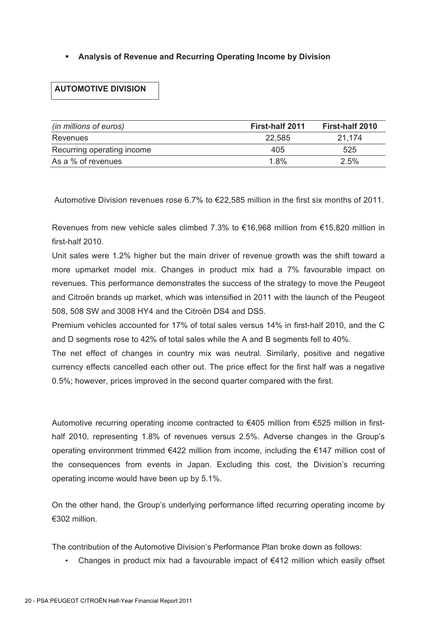## **Analysis of Revenue and Recurring Operating Income by Division**

## **AUTOMOTIVE DIVISION**

| (in millions of euros)     | First-half 2011 | First-half 2010 |
|----------------------------|-----------------|-----------------|
| Revenues                   | 22,585          | 21.174          |
| Recurring operating income | 405             | 525             |
| As a % of revenues         | 1.8%            | 2.5%            |

Automotive Division revenues rose 6.7% to €22,585 million in the first six months of 2011.

Revenues from new vehicle sales climbed 7.3% to €16,968 million from €15,820 million in first-half 2010.

Unit sales were 1.2% higher but the main driver of revenue growth was the shift toward a more upmarket model mix. Changes in product mix had a 7% favourable impact on revenues. This performance demonstrates the success of the strategy to move the Peugeot and Citroën brands up market, which was intensified in 2011 with the launch of the Peugeot 508, 508 SW and 3008 HY4 and the Citroën DS4 and DS5.

Premium vehicles accounted for 17% of total sales versus 14% in first-half 2010, and the C and D segments rose to 42% of total sales while the A and B segments fell to 40%.

The net effect of changes in country mix was neutral. Similarly, positive and negative currency effects cancelled each other out. The price effect for the first half was a negative 0.5%; however, prices improved in the second quarter compared with the first.

Automotive recurring operating income contracted to  $\epsilon$ 405 million from  $\epsilon$ 525 million in firsthalf 2010, representing 1.8% of revenues versus 2.5%. Adverse changes in the Group's operating environment trimmed €422 million from income, including the €147 million cost of the consequences from events in Japan. Excluding this cost, the Division's recurring operating income would have been up by 5.1%.

On the other hand, the Group's underlying performance lifted recurring operating income by €302 million.

The contribution of the Automotive Division's Performance Plan broke down as follows:

• Changes in product mix had a favourable impact of €412 million which easily offset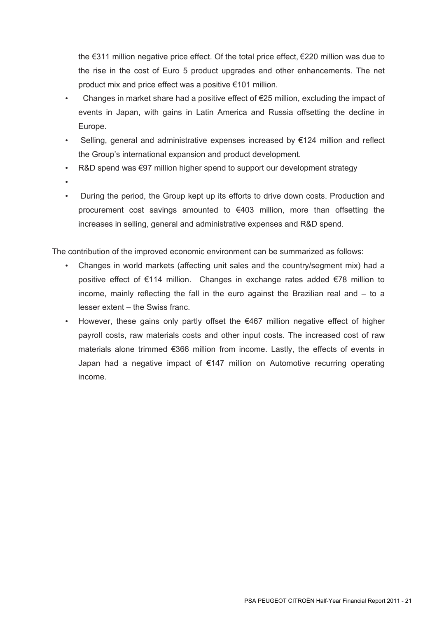the €311 million negative price effect. Of the total price effect, €220 million was due to the rise in the cost of Euro 5 product upgrades and other enhancements. The net product mix and price effect was a positive €101 million.

- Changes in market share had a positive effect of  $E$ 25 million, excluding the impact of events in Japan, with gains in Latin America and Russia offsetting the decline in Europe.
- Selling, general and administrative expenses increased by €124 million and reflect the Group's international expansion and product development.
- R&D spend was €97 million higher spend to support our development strategy
- •
- During the period, the Group kept up its efforts to drive down costs. Production and procurement cost savings amounted to €403 million, more than offsetting the increases in selling, general and administrative expenses and R&D spend.

The contribution of the improved economic environment can be summarized as follows:

- Changes in world markets (affecting unit sales and the country/segment mix) had a positive effect of €114 million. Changes in exchange rates added €78 million to income, mainly reflecting the fall in the euro against the Brazilian real and – to a lesser extent – the Swiss franc.
- However, these gains only partly offset the  $€467$  million negative effect of higher payroll costs, raw materials costs and other input costs. The increased cost of raw materials alone trimmed €366 million from income. Lastly, the effects of events in Japan had a negative impact of €147 million on Automotive recurring operating income.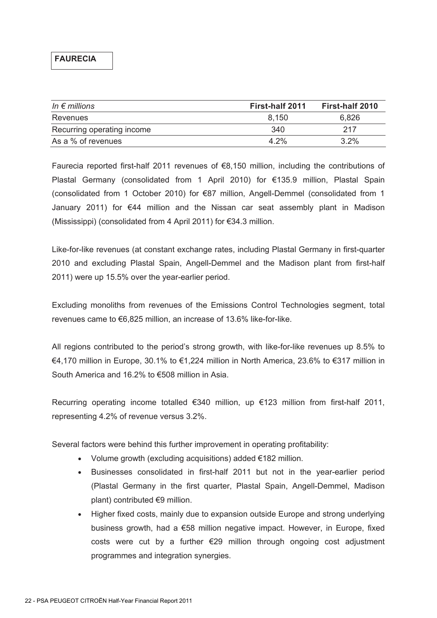## **FAURECIA**

| In $\epsilon$ millions     | <b>First-half 2011</b> | First-half 2010 |
|----------------------------|------------------------|-----------------|
| Revenues                   | 8.150                  | 6.826           |
| Recurring operating income | 340                    | 217             |
| As a % of revenues         | $4.2\%$                | $3.2\%$         |

Faurecia reported first-half 2011 revenues of €8,150 million, including the contributions of Plastal Germany (consolidated from 1 April 2010) for €135.9 million, Plastal Spain (consolidated from 1 October 2010) for €87 million, Angell-Demmel (consolidated from 1 January 2011) for €44 million and the Nissan car seat assembly plant in Madison (Mississippi) (consolidated from 4 April 2011) for €34.3 million.

Like-for-like revenues (at constant exchange rates, including Plastal Germany in first-quarter 2010 and excluding Plastal Spain, Angell-Demmel and the Madison plant from first-half 2011) were up 15.5% over the year-earlier period.

Excluding monoliths from revenues of the Emissions Control Technologies segment, total revenues came to €6,825 million, an increase of 13.6% like-for-like.

All regions contributed to the period's strong growth, with like-for-like revenues up 8.5% to €4,170 million in Europe, 30.1% to €1,224 million in North America, 23.6% to €317 million in South America and 16.2% to €508 million in Asia.

Recurring operating income totalled €340 million, up €123 million from first-half 2011, representing 4.2% of revenue versus 3.2%.

Several factors were behind this further improvement in operating profitability:

- Volume growth (excluding acquisitions) added €182 million.
- Businesses consolidated in first-half 2011 but not in the year-earlier period (Plastal Germany in the first quarter, Plastal Spain, Angell-Demmel, Madison plant) contributed €9 million.
- Higher fixed costs, mainly due to expansion outside Europe and strong underlying business growth, had a €58 million negative impact. However, in Europe, fixed costs were cut by a further  $\epsilon$ 29 million through ongoing cost adjustment programmes and integration synergies.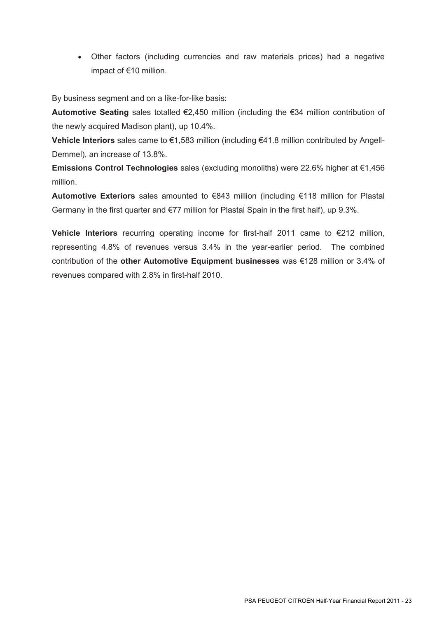• Other factors (including currencies and raw materials prices) had a negative impact of €10 million.

By business segment and on a like-for-like basis:

**Automotive Seating** sales totalled €2,450 million (including the €34 million contribution of the newly acquired Madison plant), up 10.4%.

**Vehicle Interiors** sales came to €1,583 million (including €41.8 million contributed by Angell-Demmel), an increase of 13.8%.

**Emissions Control Technologies** sales (excluding monoliths) were 22.6% higher at €1,456 million.

**Automotive Exteriors** sales amounted to €843 million (including €118 million for Plastal Germany in the first quarter and €77 million for Plastal Spain in the first half), up 9.3%.

**Vehicle Interiors** recurring operating income for first-half 2011 came to €212 million, representing 4.8% of revenues versus 3.4% in the year-earlier period. The combined contribution of the **other Automotive Equipment businesses** was €128 million or 3.4% of revenues compared with 2.8% in first-half 2010.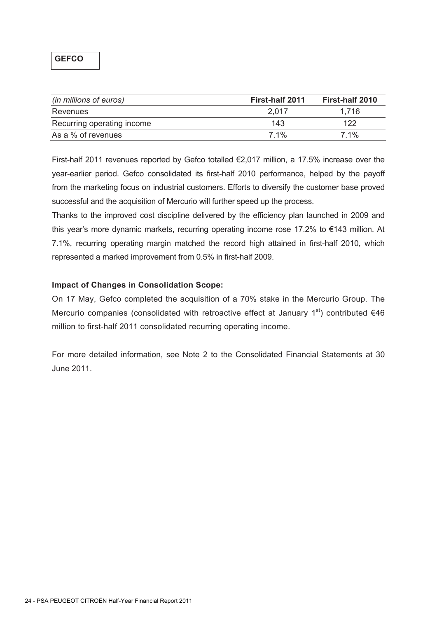| (in millions of euros)     | First-half 2011 | <b>First-half 2010</b> |
|----------------------------|-----------------|------------------------|
| Revenues                   | 2.017           | 1.716                  |
| Recurring operating income | 143             | 122                    |
| As a % of revenues         | $7.1\%$         | $7.1\%$                |

First-half 2011 revenues reported by Gefco totalled €2,017 million, a 17.5% increase over the year-earlier period. Gefco consolidated its first-half 2010 performance, helped by the payoff from the marketing focus on industrial customers. Efforts to diversify the customer base proved successful and the acquisition of Mercurio will further speed up the process.

Thanks to the improved cost discipline delivered by the efficiency plan launched in 2009 and this year's more dynamic markets, recurring operating income rose 17.2% to €143 million. At 7.1%, recurring operating margin matched the record high attained in first-half 2010, which represented a marked improvement from 0.5% in first-half 2009.

## **Impact of Changes in Consolidation Scope:**

On 17 May, Gefco completed the acquisition of a 70% stake in the Mercurio Group. The Mercurio companies (consolidated with retroactive effect at January  $1<sup>st</sup>$ ) contributed  $€46$ million to first-half 2011 consolidated recurring operating income.

For more detailed information, see Note 2 to the Consolidated Financial Statements at 30 June 2011.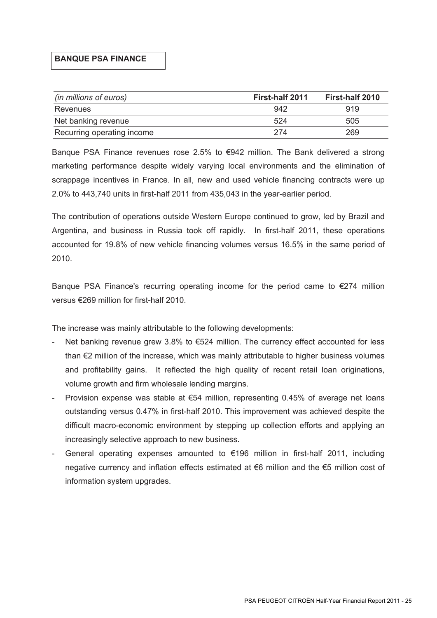### **BANQUE PSA FINANCE**

| (in millions of euros)     | <b>First-half 2011</b> | First-half 2010 |
|----------------------------|------------------------|-----------------|
| Revenues                   | 942                    | 919             |
| Net banking revenue        | 524                    | 505             |
| Recurring operating income | 274                    | 269             |

Banque PSA Finance revenues rose 2.5% to €942 million. The Bank delivered a strong marketing performance despite widely varying local environments and the elimination of scrappage incentives in France. In all, new and used vehicle financing contracts were up 2.0% to 443,740 units in first-half 2011 from 435,043 in the year-earlier period.

The contribution of operations outside Western Europe continued to grow, led by Brazil and Argentina, and business in Russia took off rapidly. In first-half 2011, these operations accounted for 19.8% of new vehicle financing volumes versus 16.5% in the same period of 2010.

Banque PSA Finance's recurring operating income for the period came to  $\epsilon$ 274 million versus €269 million for first-half 2010.

The increase was mainly attributable to the following developments:

- Net banking revenue grew 3.8% to  $\epsilon$ 524 million. The currency effect accounted for less than €2 million of the increase, which was mainly attributable to higher business volumes and profitability gains. It reflected the high quality of recent retail loan originations, volume growth and firm wholesale lending margins.
- Provision expense was stable at  $€54$  million, representing 0.45% of average net loans outstanding versus 0.47% in first-half 2010. This improvement was achieved despite the difficult macro-economic environment by stepping up collection efforts and applying an increasingly selective approach to new business.
- General operating expenses amounted to  $\epsilon$ 196 million in first-half 2011, including negative currency and inflation effects estimated at €6 million and the €5 million cost of information system upgrades.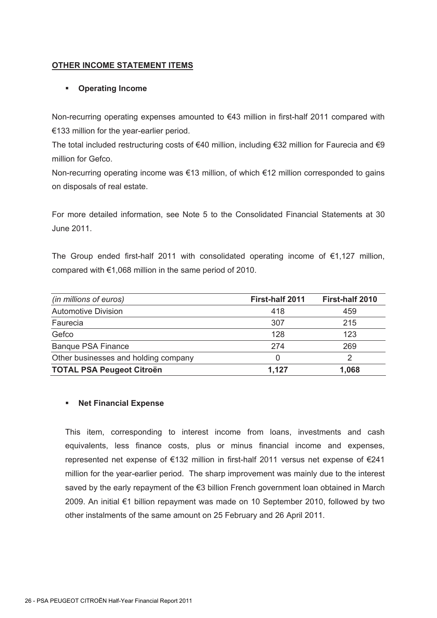## **OTHER INCOME STATEMENT ITEMS**

## **Operating Income**

Non-recurring operating expenses amounted to €43 million in first-half 2011 compared with €133 million for the year-earlier period.

The total included restructuring costs of €40 million, including €32 million for Faurecia and €9 million for Gefco.

Non-recurring operating income was €13 million, of which €12 million corresponded to gains on disposals of real estate.

For more detailed information, see Note 5 to the Consolidated Financial Statements at 30 June 2011.

The Group ended first-half 2011 with consolidated operating income of  $\epsilon$ 1,127 million, compared with €1,068 million in the same period of 2010.

| (in millions of euros)               | First-half 2011 | First-half 2010 |
|--------------------------------------|-----------------|-----------------|
| <b>Automotive Division</b>           | 418             | 459             |
| Faurecia                             | 307             | 215             |
| Gefco                                | 128             | 123             |
| <b>Banque PSA Finance</b>            | 274             | 269             |
| Other businesses and holding company |                 | ⌒               |
| <b>TOTAL PSA Peugeot Citroën</b>     | 1.127           | 1,068           |

### **Net Financial Expense**

This item, corresponding to interest income from loans, investments and cash equivalents, less finance costs, plus or minus financial income and expenses, represented net expense of €132 million in first-half 2011 versus net expense of €241 million for the year-earlier period. The sharp improvement was mainly due to the interest saved by the early repayment of the €3 billion French government loan obtained in March 2009. An initial €1 billion repayment was made on 10 September 2010, followed by two other instalments of the same amount on 25 February and 26 April 2011.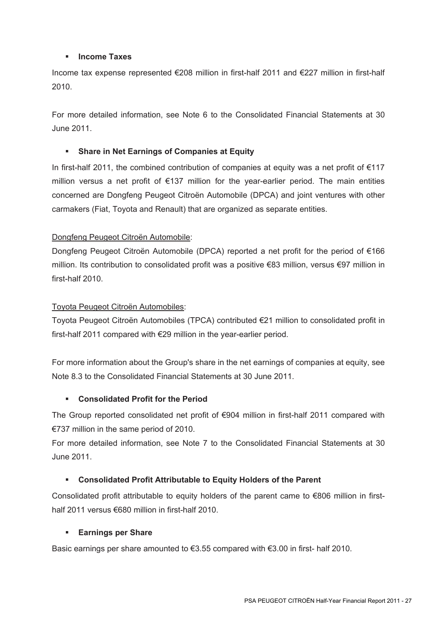## **Income Taxes**

Income tax expense represented €208 million in first-half 2011 and €227 million in first-half 2010.

For more detailed information, see Note 6 to the Consolidated Financial Statements at 30 June 2011.

## **Share in Net Earnings of Companies at Equity**

In first-half 2011, the combined contribution of companies at equity was a net profit of €117 million versus a net profit of €137 million for the year-earlier period. The main entities concerned are Dongfeng Peugeot Citroën Automobile (DPCA) and joint ventures with other carmakers (Fiat, Toyota and Renault) that are organized as separate entities.

## Dongfeng Peugeot Citroën Automobile:

Dongfeng Peugeot Citroën Automobile (DPCA) reported a net profit for the period of €166 million. Its contribution to consolidated profit was a positive €83 million, versus €97 million in first-half 2010.

## Toyota Peugeot Citroën Automobiles:

Toyota Peugeot Citroën Automobiles (TPCA) contributed €21 million to consolidated profit in first-half 2011 compared with €29 million in the year-earlier period.

For more information about the Group's share in the net earnings of companies at equity, see Note 8.3 to the Consolidated Financial Statements at 30 June 2011.

### **Consolidated Profit for the Period**

The Group reported consolidated net profit of €904 million in first-half 2011 compared with €737 million in the same period of 2010.

For more detailed information, see Note 7 to the Consolidated Financial Statements at 30 June 2011.

## **Consolidated Profit Attributable to Equity Holders of the Parent**

Consolidated profit attributable to equity holders of the parent came to  $\epsilon$ 806 million in firsthalf 2011 versus €680 million in first-half 2010.

### **Earnings per Share**

Basic earnings per share amounted to  $\epsilon$ 3.55 compared with  $\epsilon$ 3.00 in first- half 2010.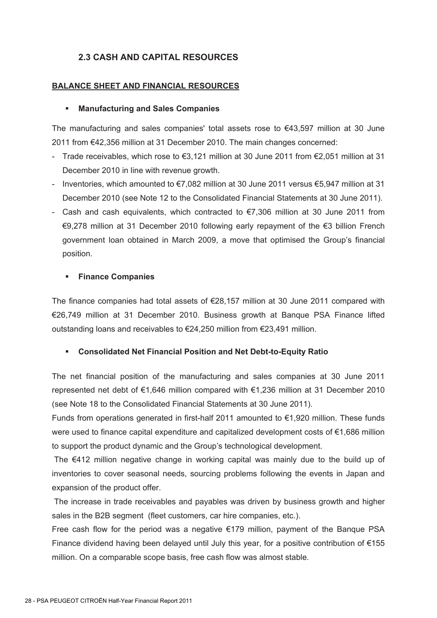## **2.3 CASH AND CAPITAL RESOURCES**

### **BALANCE SHEET AND FINANCIAL RESOURCES**

### **Manufacturing and Sales Companies**

The manufacturing and sales companies' total assets rose to €43,597 million at 30 June 2011 from €42,356 million at 31 December 2010. The main changes concerned:

- Trade receivables, which rose to €3,121 million at 30 June 2011 from €2,051 million at 31 December 2010 in line with revenue growth.
- Inventories, which amounted to €7,082 million at 30 June 2011 versus €5,947 million at 31 December 2010 (see Note 12 to the Consolidated Financial Statements at 30 June 2011).
- Cash and cash equivalents, which contracted to  $\epsilon$ 7,306 million at 30 June 2011 from €9,278 million at 31 December 2010 following early repayment of the €3 billion French government loan obtained in March 2009, a move that optimised the Group's financial position.

### **Finance Companies**

The finance companies had total assets of €28,157 million at 30 June 2011 compared with €26,749 million at 31 December 2010. Business growth at Banque PSA Finance lifted outstanding loans and receivables to €24,250 million from €23,491 million.

### **Consolidated Net Financial Position and Net Debt-to-Equity Ratio**

The net financial position of the manufacturing and sales companies at 30 June 2011 represented net debt of €1,646 million compared with €1,236 million at 31 December 2010 (see Note 18 to the Consolidated Financial Statements at 30 June 2011).

Funds from operations generated in first-half 2011 amounted to  $\epsilon$ 1,920 million. These funds were used to finance capital expenditure and capitalized development costs of €1,686 million to support the product dynamic and the Group's technological development.

 The €412 million negative change in working capital was mainly due to the build up of inventories to cover seasonal needs, sourcing problems following the events in Japan and expansion of the product offer.

 The increase in trade receivables and payables was driven by business growth and higher sales in the B2B segment (fleet customers, car hire companies, etc.).

Free cash flow for the period was a negative €179 million, payment of the Banque PSA Finance dividend having been delayed until July this year, for a positive contribution of  $\epsilon$ 155 million. On a comparable scope basis, free cash flow was almost stable.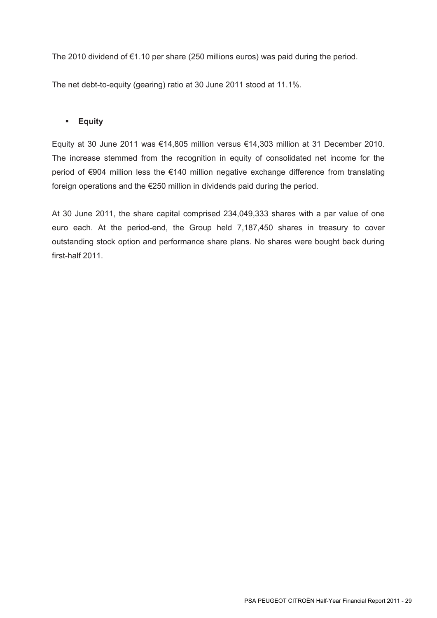The 2010 dividend of €1.10 per share (250 millions euros) was paid during the period.

The net debt-to-equity (gearing) ratio at 30 June 2011 stood at 11.1%.

## **Equity**

Equity at 30 June 2011 was €14,805 million versus €14,303 million at 31 December 2010. The increase stemmed from the recognition in equity of consolidated net income for the period of €904 million less the €140 million negative exchange difference from translating foreign operations and the €250 million in dividends paid during the period.

At 30 June 2011, the share capital comprised 234,049,333 shares with a par value of one euro each. At the period-end, the Group held 7,187,450 shares in treasury to cover outstanding stock option and performance share plans. No shares were bought back during first-half 2011.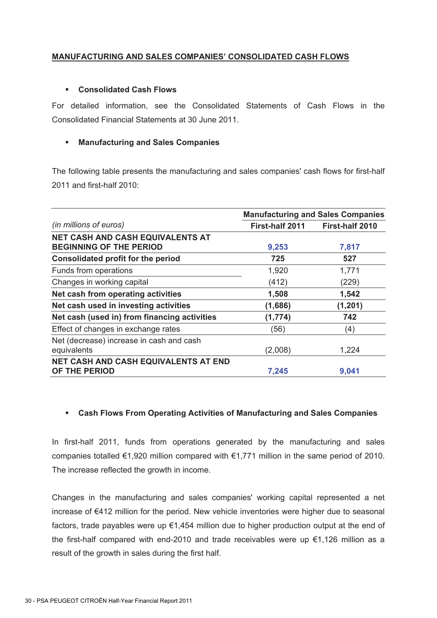## **MANUFACTURING AND SALES COMPANIES' CONSOLIDATED CASH FLOWS**

### **Consolidated Cash Flows**

For detailed information, see the Consolidated Statements of Cash Flows in the Consolidated Financial Statements at 30 June 2011.

## **Manufacturing and Sales Companies**

The following table presents the manufacturing and sales companies' cash flows for first-half 2011 and first-half 2010:

|                                                                           | <b>Manufacturing and Sales Companies</b> |                        |  |
|---------------------------------------------------------------------------|------------------------------------------|------------------------|--|
| (in millions of euros)                                                    | <b>First-half 2011</b>                   | <b>First-half 2010</b> |  |
| <b>NET CASH AND CASH EQUIVALENTS AT</b><br><b>BEGINNING OF THE PERIOD</b> | 9,253                                    | 7,817                  |  |
| Consolidated profit for the period                                        | 725                                      | 527                    |  |
| Funds from operations                                                     | 1,920                                    | 1,771                  |  |
| Changes in working capital                                                | (412)                                    | (229)                  |  |
| Net cash from operating activities                                        | 1,508                                    | 1,542                  |  |
| Net cash used in investing activities                                     | (1,686)                                  | (1, 201)               |  |
| Net cash (used in) from financing activities                              | (1, 774)                                 | 742                    |  |
| Effect of changes in exchange rates                                       | (56)                                     | (4)                    |  |
| Net (decrease) increase in cash and cash<br>equivalents                   | (2,008)                                  | 1,224                  |  |
| <b>NET CASH AND CASH EQUIVALENTS AT END</b><br>OF THE PERIOD              | 7,245                                    | 9,041                  |  |

### **Cash Flows From Operating Activities of Manufacturing and Sales Companies**

In first-half 2011, funds from operations generated by the manufacturing and sales companies totalled €1,920 million compared with €1,771 million in the same period of 2010. The increase reflected the growth in income.

Changes in the manufacturing and sales companies' working capital represented a net increase of €412 million for the period. New vehicle inventories were higher due to seasonal factors, trade payables were up  $\epsilon$ 1,454 million due to higher production output at the end of the first-half compared with end-2010 and trade receivables were up €1,126 million as a result of the growth in sales during the first half.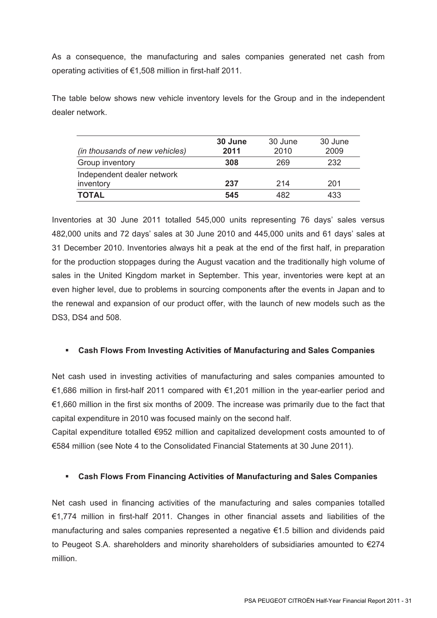As a consequence, the manufacturing and sales companies generated net cash from operating activities of €1,508 million in first-half 2011.

The table below shows new vehicle inventory levels for the Group and in the independent dealer network.

| (in thousands of new vehicles)          | 30 June<br>2011 | 30 June<br>2010 | 30 June<br>2009 |
|-----------------------------------------|-----------------|-----------------|-----------------|
| Group inventory                         | 308             | 269             | 232             |
| Independent dealer network<br>inventory | 237             | 214             | 201             |
| <b>TOTAL</b>                            | 545             | 482             | 433             |

Inventories at 30 June 2011 totalled 545,000 units representing 76 days' sales versus 482,000 units and 72 days' sales at 30 June 2010 and 445,000 units and 61 days' sales at 31 December 2010. Inventories always hit a peak at the end of the first half, in preparation for the production stoppages during the August vacation and the traditionally high volume of sales in the United Kingdom market in September. This year, inventories were kept at an even higher level, due to problems in sourcing components after the events in Japan and to the renewal and expansion of our product offer, with the launch of new models such as the DS3, DS4 and 508.

## **Cash Flows From Investing Activities of Manufacturing and Sales Companies**

Net cash used in investing activities of manufacturing and sales companies amounted to €1,686 million in first-half 2011 compared with €1,201 million in the year-earlier period and €1,660 million in the first six months of 2009. The increase was primarily due to the fact that capital expenditure in 2010 was focused mainly on the second half.

Capital expenditure totalled €952 million and capitalized development costs amounted to of €584 million (see Note 4 to the Consolidated Financial Statements at 30 June 2011).

## **Cash Flows From Financing Activities of Manufacturing and Sales Companies**

Net cash used in financing activities of the manufacturing and sales companies totalled €1,774 million in first-half 2011. Changes in other financial assets and liabilities of the manufacturing and sales companies represented a negative €1.5 billion and dividends paid to Peugeot S.A. shareholders and minority shareholders of subsidiaries amounted to  $\epsilon$ 274 million.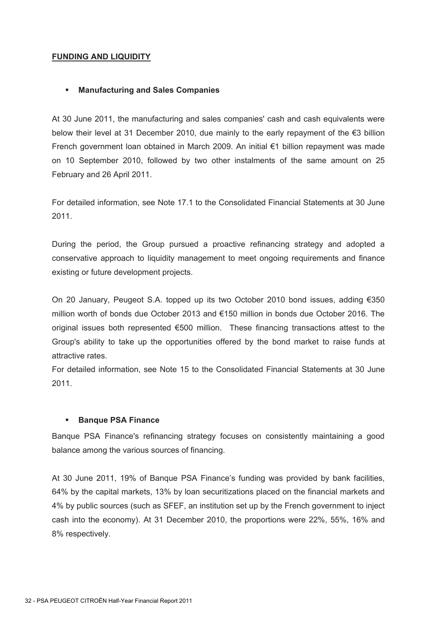## **FUNDING AND LIQUIDITY**

### **Manufacturing and Sales Companies**

At 30 June 2011, the manufacturing and sales companies' cash and cash equivalents were below their level at 31 December 2010, due mainly to the early repayment of the €3 billion French government loan obtained in March 2009. An initial €1 billion repayment was made on 10 September 2010, followed by two other instalments of the same amount on 25 February and 26 April 2011.

For detailed information, see Note 17.1 to the Consolidated Financial Statements at 30 June 2011.

During the period, the Group pursued a proactive refinancing strategy and adopted a conservative approach to liquidity management to meet ongoing requirements and finance existing or future development projects.

On 20 January, Peugeot S.A. topped up its two October 2010 bond issues, adding €350 million worth of bonds due October 2013 and €150 million in bonds due October 2016. The original issues both represented €500 million. These financing transactions attest to the Group's ability to take up the opportunities offered by the bond market to raise funds at attractive rates.

For detailed information, see Note 15 to the Consolidated Financial Statements at 30 June 2011.

### **Banque PSA Finance**

Banque PSA Finance's refinancing strategy focuses on consistently maintaining a good balance among the various sources of financing.

At 30 June 2011, 19% of Banque PSA Finance's funding was provided by bank facilities, 64% by the capital markets, 13% by loan securitizations placed on the financial markets and 4% by public sources (such as SFEF, an institution set up by the French government to inject cash into the economy). At 31 December 2010, the proportions were 22%, 55%, 16% and 8% respectively.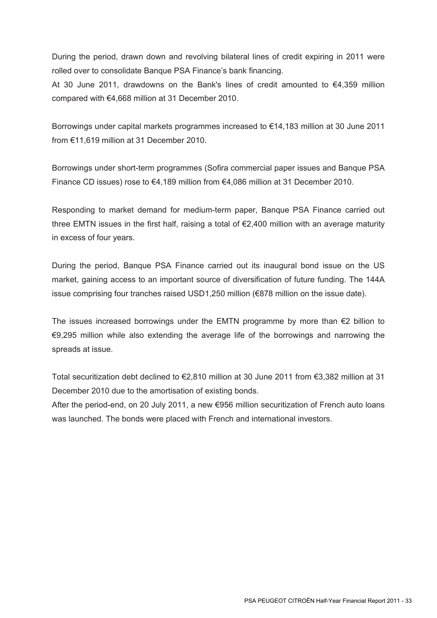During the period, drawn down and revolving bilateral lines of credit expiring in 2011 were rolled over to consolidate Banque PSA Finance's bank financing.

At 30 June 2011, drawdowns on the Bank's lines of credit amounted to €4,359 million compared with €4,668 million at 31 December 2010.

Borrowings under capital markets programmes increased to €14,183 million at 30 June 2011 from €11,619 million at 31 December 2010.

Borrowings under short-term programmes (Sofira commercial paper issues and Banque PSA Finance CD issues) rose to €4,189 million from €4,086 million at 31 December 2010.

Responding to market demand for medium-term paper, Banque PSA Finance carried out three EMTN issues in the first half, raising a total of €2,400 million with an average maturity in excess of four years.

During the period, Banque PSA Finance carried out its inaugural bond issue on the US market, gaining access to an important source of diversification of future funding. The 144A issue comprising four tranches raised USD1,250 million (€878 million on the issue date).

The issues increased borrowings under the EMTN programme by more than  $\epsilon$ 2 billion to €9,295 million while also extending the average life of the borrowings and narrowing the spreads at issue.

Total securitization debt declined to €2,810 million at 30 June 2011 from €3,382 million at 31 December 2010 due to the amortisation of existing bonds.

After the period-end, on 20 July 2011, a new €956 million securitization of French auto loans was launched. The bonds were placed with French and international investors.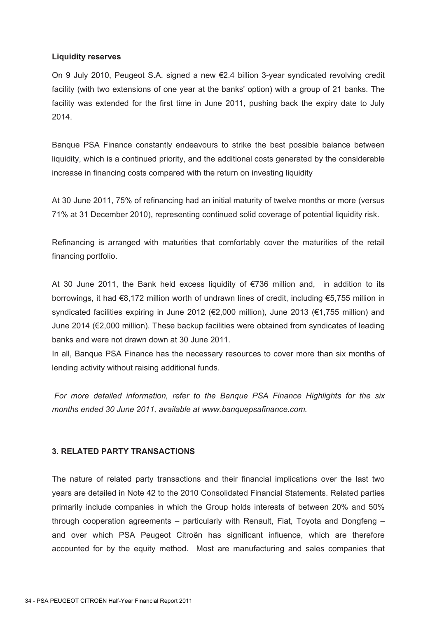### **Liquidity reserves**

On 9 July 2010, Peugeot S.A. signed a new €2.4 billion 3-year syndicated revolving credit facility (with two extensions of one year at the banks' option) with a group of 21 banks. The facility was extended for the first time in June 2011, pushing back the expiry date to July 2014.

Banque PSA Finance constantly endeavours to strike the best possible balance between liquidity, which is a continued priority, and the additional costs generated by the considerable increase in financing costs compared with the return on investing liquidity

At 30 June 2011, 75% of refinancing had an initial maturity of twelve months or more (versus 71% at 31 December 2010), representing continued solid coverage of potential liquidity risk.

Refinancing is arranged with maturities that comfortably cover the maturities of the retail financing portfolio.

At 30 June 2011, the Bank held excess liquidity of €736 million and, in addition to its borrowings, it had €8,172 million worth of undrawn lines of credit, including €5,755 million in syndicated facilities expiring in June 2012 (€2,000 million), June 2013 (€1,755 million) and June 2014 (€2,000 million). These backup facilities were obtained from syndicates of leading banks and were not drawn down at 30 June 2011.

In all, Banque PSA Finance has the necessary resources to cover more than six months of lending activity without raising additional funds.

 *For more detailed information, refer to the Banque PSA Finance Highlights for the six months ended 30 June 2011, available at www.banquepsafinance.com.* 

### **3. RELATED PARTY TRANSACTIONS**

The nature of related party transactions and their financial implications over the last two years are detailed in Note 42 to the 2010 Consolidated Financial Statements. Related parties primarily include companies in which the Group holds interests of between 20% and 50% through cooperation agreements – particularly with Renault, Fiat, Toyota and Dongfeng – and over which PSA Peugeot Citroën has significant influence, which are therefore accounted for by the equity method. Most are manufacturing and sales companies that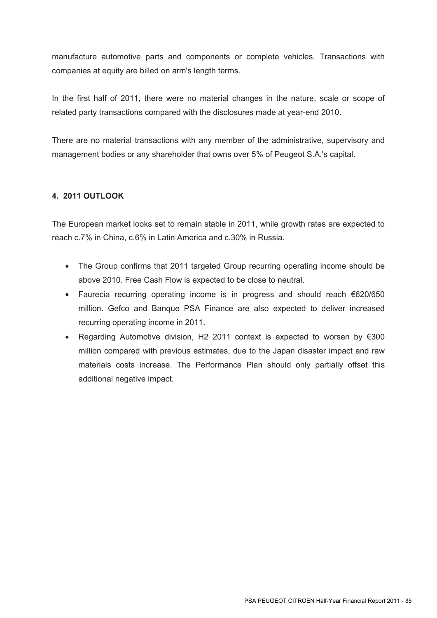manufacture automotive parts and components or complete vehicles. Transactions with companies at equity are billed on arm's length terms.

In the first half of 2011, there were no material changes in the nature, scale or scope of related party transactions compared with the disclosures made at year-end 2010.

There are no material transactions with any member of the administrative, supervisory and management bodies or any shareholder that owns over 5% of Peugeot S.A.'s capital.

## **4. 2011 OUTLOOK**

The European market looks set to remain stable in 2011, while growth rates are expected to reach c.7% in China, c.6% in Latin America and c.30% in Russia.

- The Group confirms that 2011 targeted Group recurring operating income should be above 2010. Free Cash Flow is expected to be close to neutral.
- Faurecia recurring operating income is in progress and should reach €620/650 million. Gefco and Banque PSA Finance are also expected to deliver increased recurring operating income in 2011.
- Regarding Automotive division, H2 2011 context is expected to worsen by €300 million compared with previous estimates, due to the Japan disaster impact and raw materials costs increase. The Performance Plan should only partially offset this additional negative impact.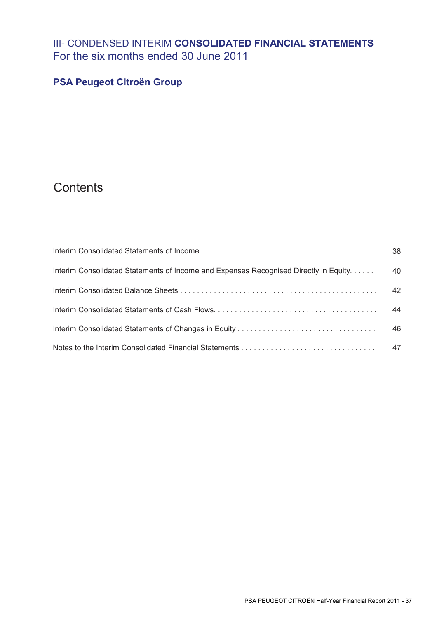# III- CONDENSED INTERIM **CONSOLIDATED FINANCIAL STATEMENTS**  For the six months ended 30 June 2011

## **PSA Peugeot Citroën Group**

# **Contents**

|                                                                                      | -38 |
|--------------------------------------------------------------------------------------|-----|
| Interim Consolidated Statements of Income and Expenses Recognised Directly in Equity | 40  |
|                                                                                      | 42  |
|                                                                                      | 44  |
|                                                                                      | 46  |
|                                                                                      | 47  |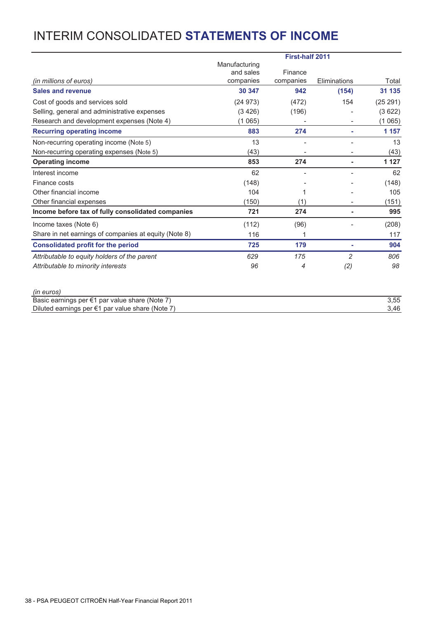# INTERIM CONSOLIDATED **STATEMENTS OF INCOME**

|                                                                                                              | <b>First-half 2011</b> |           |                |              |
|--------------------------------------------------------------------------------------------------------------|------------------------|-----------|----------------|--------------|
|                                                                                                              | Manufacturing          |           |                |              |
|                                                                                                              | and sales              | Finance   |                |              |
| (in millions of euros)                                                                                       | companies              | companies | Eliminations   | Total        |
| <b>Sales and revenue</b>                                                                                     | 30 347                 | 942       | (154)          | 31 135       |
| Cost of goods and services sold                                                                              | (24973)                | (472)     | 154            | (25 291)     |
| Selling, general and administrative expenses                                                                 | (3426)                 | (196)     |                | (3622)       |
| Research and development expenses (Note 4)                                                                   | (1065)                 |           |                | (1 065)      |
| <b>Recurring operating income</b>                                                                            | 883                    | 274       |                | 1 157        |
| Non-recurring operating income (Note 5)                                                                      | 13                     |           |                | 13           |
| Non-recurring operating expenses (Note 5)                                                                    | (43)                   |           |                | (43)         |
| <b>Operating income</b>                                                                                      | 853                    | 274       |                | 1 1 2 7      |
| Interest income                                                                                              | 62                     |           |                | 62           |
| Finance costs                                                                                                | (148)                  |           |                | (148)        |
| Other financial income                                                                                       | 104                    | 1         |                | 105          |
| Other financial expenses                                                                                     | (150)                  | (1)       |                | (151)        |
| Income before tax of fully consolidated companies                                                            | 721                    | 274       |                | 995          |
| Income taxes (Note 6)                                                                                        | (112)                  | (96)      |                | (208)        |
| Share in net earnings of companies at equity (Note 8)                                                        | 116                    | 1         |                | 117          |
| <b>Consolidated profit for the period</b>                                                                    | 725                    | 179       |                | 904          |
| Attributable to equity holders of the parent                                                                 | 629                    | 175       | $\overline{2}$ | 806          |
| Attributable to minority interests                                                                           | 96                     | 4         | (2)            | 98           |
| (in euros)                                                                                                   |                        |           |                |              |
| Basic earnings per €1 par value share (Note 7)<br>Diluted earnings per $\epsilon$ 1 par value share (Note 7) |                        |           |                | 3,55<br>3,46 |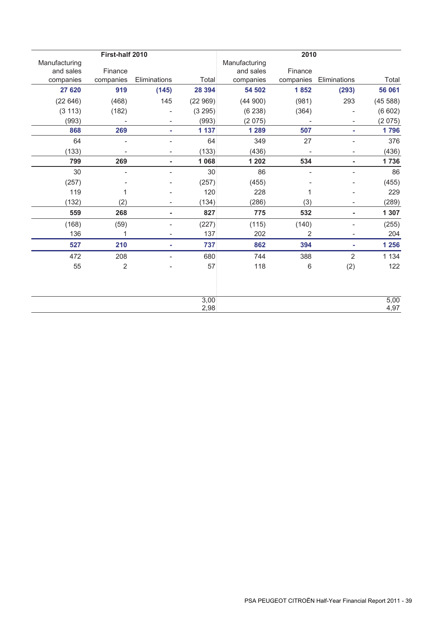|               | First-half 2010          |                          |                 |               | 2010           |                          |         |
|---------------|--------------------------|--------------------------|-----------------|---------------|----------------|--------------------------|---------|
| Manufacturing |                          |                          |                 | Manufacturing |                |                          |         |
| and sales     | Finance                  |                          |                 | and sales     | Finance        |                          |         |
| companies     | companies                | Eliminations             | Total           | companies     | companies      | Eliminations             | Total   |
| 27 620        | 919                      | (145)                    | 28 394          | 54 502        | 1852           | (293)                    | 56 061  |
| (22646)       | (468)                    | 145                      | (22969)         | (44900)       | (981)          | 293                      | (45588) |
| (3 113)       | (182)                    |                          | (3 295)         | (6238)        | (364)          |                          | (6602)  |
| (993)         |                          |                          | (993)           | (2075)        |                |                          | (2075)  |
| 868           | 269                      | ٠                        | 1 1 3 7         | 1 2 8 9       | 507            | ٠                        | 1796    |
| 64            | $\overline{\phantom{a}}$ |                          | 64              | 349           | 27             | $\overline{\phantom{a}}$ | 376     |
| (133)         |                          |                          | (133)           | (436)         |                |                          | (436)   |
| 799           | 269                      |                          | 1 0 68          | 1 202         | 534            |                          | 1736    |
| 30            |                          |                          | 30 <sup>1</sup> | 86            |                |                          | 86      |
| (257)         |                          |                          | (257)           | (455)         |                |                          | (455)   |
| 119           | 1                        |                          | 120             | 228           | 1              |                          | 229     |
| (132)         | (2)                      | $\overline{\phantom{0}}$ | (134)           | (286)         | (3)            | $\overline{\phantom{a}}$ | (289)   |
| 559           | 268                      | ۰                        | 827             | 775           | 532            | ۰                        | 1 307   |
| (168)         | (59)                     |                          | (227)           | (115)         | (140)          |                          | (255)   |
| 136           | 1                        | -                        | 137             | 202           | $\overline{2}$ | $\overline{\phantom{a}}$ | 204     |
| 527           | 210                      | ÷                        | 737             | 862           | 394            | ٠                        | 1 2 5 6 |
| 472           | 208                      | $\overline{\phantom{0}}$ | 680             | 744           | 388            | $\overline{2}$           | 1 1 3 4 |
| 55            | 2                        |                          | 57              | 118           | 6              | (2)                      | 122     |
|               |                          |                          |                 |               |                |                          |         |
|               |                          |                          | 3,00            |               |                |                          | 5,00    |
|               |                          |                          | 2,98            |               |                |                          | 4,97    |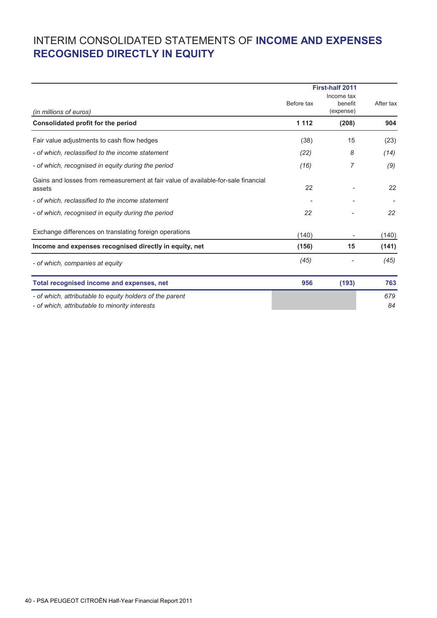# INTERIM CONSOLIDATED STATEMENTS OF **INCOME AND EXPENSES RECOGNISED DIRECTLY IN EQUITY**

|                                                                                                            |            | <b>First-half 2011</b>             |           |  |
|------------------------------------------------------------------------------------------------------------|------------|------------------------------------|-----------|--|
| (in millions of euros)                                                                                     | Before tax | Income tax<br>benefit<br>(expense) | After tax |  |
| Consolidated profit for the period                                                                         | 1 1 1 2    | (208)                              | 904       |  |
| Fair value adjustments to cash flow hedges                                                                 | (38)       | 15                                 | (23)      |  |
| - of which, reclassified to the income statement                                                           | (22)       | 8                                  | (14)      |  |
| - of which, recognised in equity during the period                                                         | (16)       | 7                                  | (9)       |  |
| Gains and losses from remeasurement at fair value of available-for-sale financial<br>assets                | 22         |                                    | 22        |  |
| - of which, reclassified to the income statement                                                           |            |                                    |           |  |
| - of which, recognised in equity during the period                                                         | 22         |                                    | 22        |  |
| Exchange differences on translating foreign operations                                                     | (140)      |                                    | (140)     |  |
| Income and expenses recognised directly in equity, net                                                     | (156)      | 15                                 | (141)     |  |
| - of which, companies at equity                                                                            | (45)       |                                    | (45)      |  |
| Total recognised income and expenses, net                                                                  | 956        | (193)                              | 763       |  |
| - of which, attributable to equity holders of the parent<br>- of which, attributable to minority interests |            |                                    | 679<br>84 |  |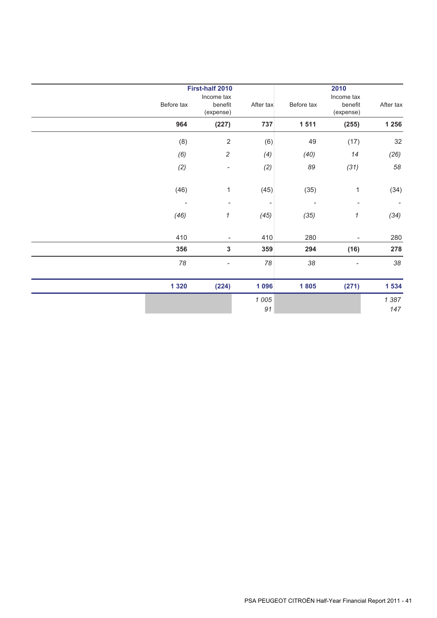|            | <b>First-half 2010</b>             |               | 2010       |                                    |                          |  |
|------------|------------------------------------|---------------|------------|------------------------------------|--------------------------|--|
| Before tax | Income tax<br>benefit<br>(expense) | After tax     | Before tax | Income tax<br>benefit<br>(expense) | After tax                |  |
| 964        | (227)                              | 737           | 1 5 1 1    | (255)                              | 1 2 5 6                  |  |
| (8)        | $\sqrt{2}$                         | (6)           | 49         | (17)                               | 32                       |  |
| (6)        | $\sqrt{2}$                         | (4)           | (40)       | 14                                 | (26)                     |  |
| (2)        | $\overline{\phantom{a}}$           | (2)           | 89         | (31)                               | 58                       |  |
| (46)       | 1                                  | (45)          | (35)       | $\mathbf 1$                        | (34)                     |  |
|            | $\qquad \qquad \blacksquare$       |               | ÷          |                                    | $\overline{\phantom{a}}$ |  |
| (46)       | 1                                  | (45)          | (35)       | 1                                  | (34)                     |  |
| 410        |                                    | 410           | 280        |                                    | 280                      |  |
| 356        | $\mathbf 3$                        | 359           | 294        | (16)                               | 278                      |  |
| 78         | ÷                                  | 78            | 38         | ÷                                  | 38                       |  |
| 1 3 2 0    | (224)                              | 1 0 96        | 1805       | (271)                              | 1 5 3 4                  |  |
|            |                                    | 1 0 0 5<br>91 |            |                                    | 1387<br>147              |  |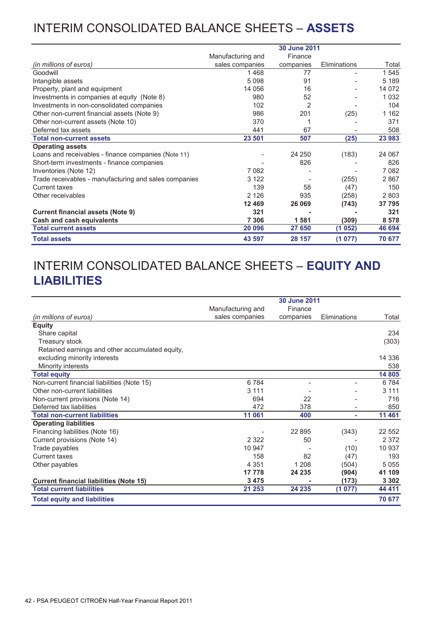# INTERIM CONSOLIDATED BALANCE SHEETS – **ASSETS**

|                                                       |                   | <b>30 June 2011</b> |              |         |
|-------------------------------------------------------|-------------------|---------------------|--------------|---------|
|                                                       | Manufacturing and | Finance             |              |         |
| (in millions of euros)                                | sales companies   | companies           | Eliminations | Total   |
| Goodwill                                              | 1468              | 77                  |              | 1 545   |
| Intangible assets                                     | 5 0 9 8           | 91                  |              | 5 1 8 9 |
| Property, plant and equipment                         | 14 0 56           | 16                  |              | 14 072  |
| Investments in companies at equity (Note 8)           | 980               | 52                  |              | 1 0 3 2 |
| Investments in non-consolidated companies             | 102               | $\overline{2}$      |              | 104     |
| Other non-current financial assets (Note 9)           | 986               | 201                 | (25)         | 1 1 6 2 |
| Other non-current assets (Note 10)                    | 370               |                     |              | 371     |
| Deferred tax assets                                   | 441               | 67                  |              | 508     |
| <b>Total non-current assets</b>                       | 23 501            | 507                 | (25)         | 23 983  |
| <b>Operating assets</b>                               |                   |                     |              |         |
| Loans and receivables - finance companies (Note 11)   |                   | 24 250              | (183)        | 24 067  |
| Short-term investments - finance companies            |                   | 826                 |              | 826     |
| Inventories (Note 12)                                 | 7082              |                     |              | 7 0 8 2 |
| Trade receivables - manufacturing and sales companies | 3 1 2 2           |                     | (255)        | 2867    |
| <b>Current taxes</b>                                  | 139               | 58                  | (47)         | 150     |
| Other receivables                                     | 2 1 2 6           | 935                 | (258)        | 2803    |
|                                                       | 12 4 69           | 26 069              | (743)        | 37 795  |
| <b>Current financial assets (Note 9)</b>              | 321               |                     |              | 321     |
| Cash and cash equivalents                             | 7 3 0 6           | 1581                | (309)        | 8578    |
| <b>Total current assets</b>                           | 20 096            | 27 650              | (1052)       | 46 694  |
| <b>Total assets</b>                                   | 43 597            | 28 157              | (1077)       | 70 677  |

# INTERIM CONSOLIDATED BALANCE SHEETS – **EQUITY AND LIABILITIES**

|                                                 | 30 June 2011      |           |              |         |  |
|-------------------------------------------------|-------------------|-----------|--------------|---------|--|
|                                                 | Manufacturing and | Finance   |              |         |  |
| (in millions of euros)                          | sales companies   | companies | Eliminations | Total   |  |
| <b>Equity</b>                                   |                   |           |              |         |  |
| Share capital                                   |                   |           |              | 234     |  |
| <b>Treasury stock</b>                           |                   |           |              | (303)   |  |
| Retained earnings and other accumulated equity, |                   |           |              |         |  |
| excluding minority interests                    |                   |           |              | 14 336  |  |
| Minority interests                              |                   |           |              | 538     |  |
| <b>Total equity</b>                             |                   |           |              | 14 805  |  |
| Non-current financial liabilities (Note 15)     | 6784              |           |              | 6784    |  |
| Other non-current liabilities                   | 3 1 1 1           |           |              | 3 1 1 1 |  |
| Non-current provisions (Note 14)                | 694               | 22        |              | 716     |  |
| Deferred tax liabilities                        | 472               | 378       |              | 850     |  |
| <b>Total non-current liabilities</b>            | 11 061            | 400       | ٠            | 11 461  |  |
| <b>Operating liabilities</b>                    |                   |           |              |         |  |
| Financing liabilities (Note 16)                 |                   | 22 8 95   | (343)        | 22 552  |  |
| Current provisions (Note 14)                    | 2 3 2 2           | 50        |              | 2 3 7 2 |  |
| Trade payables                                  | 10 947            |           | (10)         | 10 937  |  |
| <b>Current taxes</b>                            | 158               | 82        | (47)         | 193     |  |
| Other payables                                  | 4 3 5 1           | 1 2 0 8   | (504)        | 5 0 5 5 |  |
|                                                 | 17 778            | 24 235    | (904)        | 41 109  |  |
| <b>Current financial liabilities (Note 15)</b>  | 3475              |           | (173)        | 3 3 0 2 |  |
| <b>Total current liabilities</b>                | 21 253            | 24 235    | (1 077)      | 44 411  |  |
| <b>Total equity and liabilities</b>             |                   |           |              | 70 677  |  |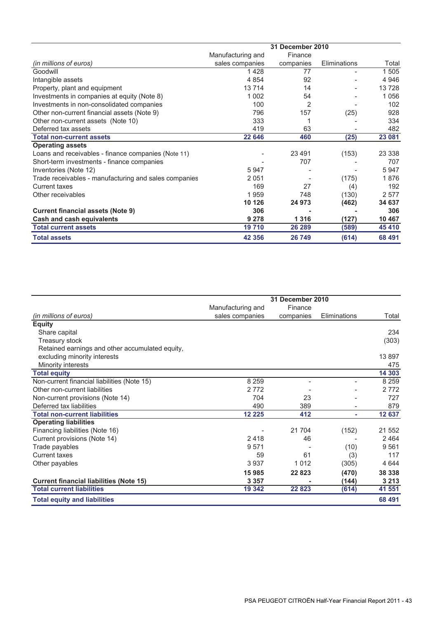|                                                       | 31 December 2010  |                |              |         |  |
|-------------------------------------------------------|-------------------|----------------|--------------|---------|--|
|                                                       | Manufacturing and | Finance        |              |         |  |
| (in millions of euros)                                | sales companies   | companies      | Eliminations | Total   |  |
| Goodwill                                              | 1428              | 77             |              | 1 505   |  |
| Intangible assets                                     | 4 8 5 4           | 92             |              | 4 9 4 6 |  |
| Property, plant and equipment                         | 13714             | 14             |              | 13728   |  |
| Investments in companies at equity (Note 8)           | 1 0 0 2           | 54             |              | 1 0 5 6 |  |
| Investments in non-consolidated companies             | 100               | $\overline{2}$ |              | 102     |  |
| Other non-current financial assets (Note 9)           | 796               | 157            | (25)         | 928     |  |
| Other non-current assets (Note 10)                    | 333               |                |              | 334     |  |
| Deferred tax assets                                   | 419               | 63             |              | 482     |  |
| <b>Total non-current assets</b>                       | 22 646            | 460            | (25)         | 23 081  |  |
| <b>Operating assets</b>                               |                   |                |              |         |  |
| Loans and receivables - finance companies (Note 11)   |                   | 23 4 91        | (153)        | 23 338  |  |
| Short-term investments - finance companies            |                   | 707            |              | 707     |  |
| Inventories (Note 12)                                 | 5947              |                |              | 5947    |  |
| Trade receivables - manufacturing and sales companies | 2051              |                | (175)        | 1876    |  |
| Current taxes                                         | 169               | 27             | (4)          | 192     |  |
| Other receivables                                     | 1959              | 748            | (130)        | 2577    |  |
|                                                       | 10 126            | 24 973         | (462)        | 34 637  |  |
| <b>Current financial assets (Note 9)</b>              | 306               |                |              | 306     |  |
| Cash and cash equivalents                             | 9 2 7 8           | 1 3 1 6        | (127)        | 10 467  |  |
| <b>Total current assets</b>                           | 19710             | 26 289         | (589)        | 45 410  |  |
| <b>Total assets</b>                                   | 42 3 5 6          | 26 749         | (614)        | 68 491  |  |

|                                                 |                   | 31 December 2010 |              |         |  |
|-------------------------------------------------|-------------------|------------------|--------------|---------|--|
|                                                 | Manufacturing and | Finance          |              |         |  |
| (in millions of euros)                          | sales companies   | companies        | Eliminations | Total   |  |
| <b>Equity</b>                                   |                   |                  |              |         |  |
| Share capital                                   |                   |                  |              | 234     |  |
| <b>Treasury stock</b>                           |                   |                  |              | (303)   |  |
| Retained earnings and other accumulated equity, |                   |                  |              |         |  |
| excluding minority interests                    |                   |                  |              | 13897   |  |
| Minority interests                              |                   |                  |              | 475     |  |
| <b>Total equity</b>                             |                   |                  |              | 14 303  |  |
| Non-current financial liabilities (Note 15)     | 8 2 5 9           |                  |              | 8 2 5 9 |  |
| Other non-current liabilities                   | 2772              |                  |              | 2772    |  |
| Non-current provisions (Note 14)                | 704               | 23               |              | 727     |  |
| Deferred tax liabilities                        | 490               | 389              |              | 879     |  |
| <b>Total non-current liabilities</b>            | 12 2 2 5          | 412              | ٠            | 12 637  |  |
| <b>Operating liabilities</b>                    |                   |                  |              |         |  |
| Financing liabilities (Note 16)                 |                   | 21 704           | (152)        | 21 552  |  |
| Current provisions (Note 14)                    | 2418              | 46               |              | 2464    |  |
| Trade payables                                  | 9571              |                  | (10)         | 9561    |  |
| Current taxes                                   | 59                | 61               | (3)          | 117     |  |
| Other payables                                  | 3937              | 1 0 1 2          | (305)        | 4644    |  |
|                                                 | 15985             | 22823            | (470)        | 38 338  |  |
| <b>Current financial liabilities (Note 15)</b>  | 3 3 5 7           |                  | (144)        | 3 2 1 3 |  |
| <b>Total current liabilities</b>                | 19 342            | 22 8 23          | (614)        | 41 551  |  |
| <b>Total equity and liabilities</b>             |                   |                  |              | 68 491  |  |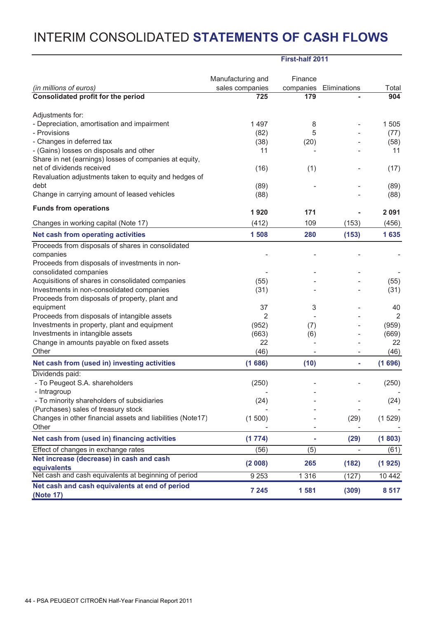# INTERIM CONSOLIDATED **STATEMENTS OF CASH FLOWS**

|                                                                     | First-half 2011                      |                          |                          |                |
|---------------------------------------------------------------------|--------------------------------------|--------------------------|--------------------------|----------------|
|                                                                     |                                      |                          |                          |                |
| (in millions of euros)                                              | Manufacturing and<br>sales companies | Finance<br>companies     |                          | Total          |
| Consolidated profit for the period                                  | 725                                  | 179                      | Eliminations             | 904            |
|                                                                     |                                      |                          |                          |                |
| Adjustments for:                                                    |                                      |                          |                          |                |
| - Depreciation, amortisation and impairment                         | 1497                                 | 8                        |                          | 1 505          |
| - Provisions                                                        | (82)                                 | 5                        |                          | (77)           |
| - Changes in deferred tax                                           | (38)                                 | (20)                     |                          | (58)           |
| - (Gains) losses on disposals and other                             | 11                                   |                          |                          | 11             |
| Share in net (earnings) losses of companies at equity,              |                                      |                          |                          |                |
| net of dividends received                                           | (16)                                 | (1)                      |                          | (17)           |
| Revaluation adjustments taken to equity and hedges of               |                                      |                          |                          |                |
| debt                                                                | (89)                                 |                          |                          | (89)           |
| Change in carrying amount of leased vehicles                        | (88)                                 |                          |                          | (88)           |
| <b>Funds from operations</b>                                        |                                      |                          |                          |                |
|                                                                     | 1920                                 | 171                      |                          | 2 0 9 1        |
| Changes in working capital (Note 17)                                | (412)                                | 109                      | (153)                    | (456)          |
| Net cash from operating activities                                  | 1508                                 | 280                      | (153)                    | 1635           |
| Proceeds from disposals of shares in consolidated                   |                                      |                          |                          |                |
| companies                                                           |                                      |                          |                          |                |
| Proceeds from disposals of investments in non-                      |                                      |                          |                          |                |
| consolidated companies                                              |                                      |                          |                          |                |
| Acquisitions of shares in consolidated companies                    | (55)                                 |                          |                          | (55)           |
| Investments in non-consolidated companies                           | (31)                                 |                          |                          | (31)           |
| Proceeds from disposals of property, plant and                      |                                      |                          |                          |                |
| equipment                                                           | 37                                   | 3                        |                          | 40             |
| Proceeds from disposals of intangible assets                        | 2                                    |                          |                          | $\overline{2}$ |
| Investments in property, plant and equipment                        | (952)                                | (7)                      |                          | (959)          |
| Investments in intangible assets                                    | (663)                                | (6)                      |                          | (669)          |
| Change in amounts payable on fixed assets                           | 22                                   |                          |                          | 22             |
| Other                                                               | (46)                                 | $\overline{\phantom{a}}$ | $\overline{\phantom{a}}$ | (46)           |
| Net cash from (used in) investing activities                        | (1686)                               | (10)                     | ÷                        | (1696)         |
| Dividends paid:                                                     |                                      |                          |                          |                |
| - To Peugeot S.A. shareholders                                      | (250)                                |                          |                          | (250)          |
| - Intragroup                                                        |                                      |                          |                          |                |
| - To minority shareholders of subsidiaries                          | (24)                                 |                          |                          | (24)           |
| (Purchases) sales of treasury stock                                 |                                      |                          |                          |                |
| Changes in other financial assets and liabilities (Note17)          | (1500)                               |                          | (29)                     | (1529)         |
| Other                                                               |                                      |                          |                          |                |
| Net cash from (used in) financing activities                        | (1774)                               | ۰                        | (29)                     | (1803)         |
| Effect of changes in exchange rates                                 | (56)                                 | (5)                      |                          | (61)           |
| Net increase (decrease) in cash and cash                            | (2 008)                              | 265                      | (182)                    | (1925)         |
| equivalents<br>Net cash and cash equivalents at beginning of period | 9253                                 | 1 3 1 6                  | (127)                    | 10 442         |
| Net cash and cash equivalents at end of period                      |                                      |                          |                          |                |
| (Note 17)                                                           | 7 2 4 5                              | 1581                     | (309)                    | 8 5 1 7        |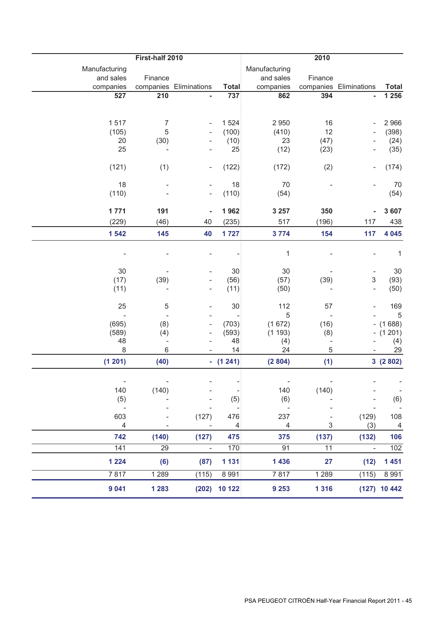|                            | 2010                       |                          |                  |                            |                          |                          |                           |
|----------------------------|----------------------------|--------------------------|------------------|----------------------------|--------------------------|--------------------------|---------------------------|
| Manufacturing<br>and sales | First-half 2010<br>Finance |                          |                  | Manufacturing<br>and sales | Finance                  |                          |                           |
| companies                  |                            | companies Eliminations   | Total            | companies                  |                          | companies Eliminations   | <b>Total</b>              |
| 527                        | 210                        |                          | 737              | 862                        | 394                      |                          | 1 2 5 6                   |
|                            |                            |                          |                  |                            |                          |                          |                           |
| 1517                       | $\overline{7}$             |                          | 1 5 24           | 2 9 5 0                    | 16                       |                          | 2 9 6 6                   |
| (105)                      | 5                          |                          | (100)            | (410)                      | 12                       |                          | (398)                     |
| 20                         | (30)                       |                          | (10)             | 23                         | (47)                     |                          | (24)                      |
| 25                         |                            |                          | 25               | (12)                       | (23)                     |                          | (35)                      |
| (121)                      | (1)                        | $\overline{\phantom{a}}$ | (122)            | (172)                      | (2)                      |                          | (174)                     |
| 18                         | $\overline{\phantom{a}}$   |                          | 18               | 70                         |                          |                          | 70                        |
| (110)                      |                            |                          | (110)            | (54)                       |                          |                          | (54)                      |
| 1771                       | 191                        | $\blacksquare$           | 1962             | 3 2 5 7                    | 350                      |                          | 3 607                     |
| (229)                      | (46)                       | 40                       | (235)            | 517                        | (196)                    | 117                      | 438                       |
| 1 542                      | 145                        | 40                       | 1727             | 3774                       | 154                      | 117                      | 4 0 4 5                   |
|                            |                            |                          |                  | $\mathbf 1$                |                          |                          | $\mathbf{1}$              |
| 30                         |                            |                          | 30               | 30                         |                          |                          | 30                        |
| (17)                       | (39)                       |                          | (56)             | (57)                       | (39)                     | 3                        | (93)                      |
| (11)                       | $\overline{a}$             | $\overline{\phantom{m}}$ | (11)             | (50)                       |                          | $\overline{\phantom{0}}$ | (50)                      |
| 25                         | 5                          |                          | 30               | 112                        | 57                       |                          | 169                       |
|                            |                            |                          |                  | 5                          |                          |                          | 5                         |
| (695)                      | (8)                        |                          | (703)            | (1672)                     | (16)                     |                          | $- (1688)$                |
| (589)                      | (4)                        |                          | (593)            | (1193)                     | (8)                      | $-$                      | (1201)                    |
| 48                         | $\qquad \qquad -$          |                          | 48               | (4)                        | $\overline{\phantom{a}}$ |                          | (4)                       |
| 8<br>(1 201)               | $\,6$<br>(40)              |                          | 14<br>$- (1241)$ | 24<br>(2804)               | 5<br>(1)                 |                          | 29<br>3(2802)             |
|                            |                            |                          |                  |                            |                          |                          |                           |
|                            |                            |                          |                  |                            |                          |                          |                           |
| 140                        | (140)                      |                          | - 8              | 140                        | (140)                    |                          | $\overline{\phantom{a}}$  |
| (5)                        |                            |                          | (5)              | (6)<br>$\sim$ $-$          |                          |                          | (6)                       |
| 603                        |                            | (127)                    | 476              | 237                        |                          | (129)                    | 108                       |
| 4                          |                            |                          | $\overline{4}$   | $\overline{4}$             | 3                        | (3)                      | $\overline{\phantom{0}4}$ |
| 742                        | (140)                      | (127)                    | 475              | 375                        | (137)                    | (132)                    | 106                       |
| 141                        | 29                         | $\sim$ $-$               | 170              | 91                         | 11                       | $\sim$ $-$               | 102                       |
| 1 2 2 4                    | (6)                        | (87)                     | 1 1 3 1          | 1 4 3 6                    | 27                       | (12)                     | 1 4 5 1                   |
| 7817                       | 1 2 8 9                    | (115)                    | 8 9 9 1          | 7817                       | 1 2 8 9                  | (115)                    | 8 9 9 1                   |
| 9 0 4 1                    | 1 2 8 3                    |                          | $(202)$ 10 122   | 9 2 5 3                    | 1 3 1 6                  |                          | $(127)$ 10 442            |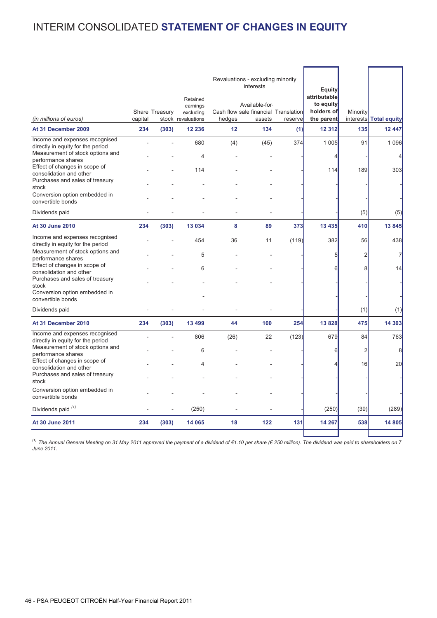# INTERIM CONSOLIDATED **STATEMENT OF CHANGES IN EQUITY**

|                                                                                         |         |                |                                                         |        | Revaluations - excluding minority<br>interests                   |         | Equity                                                |                       |                     |
|-----------------------------------------------------------------------------------------|---------|----------------|---------------------------------------------------------|--------|------------------------------------------------------------------|---------|-------------------------------------------------------|-----------------------|---------------------|
| (in millions of euros)                                                                  | capital | Share Treasury | Retained<br>earnings<br>excluding<br>stock revaluations | hedges | Available-for-<br>Cash flow sale financial Translation<br>assets | reserve | attributable<br>to equity<br>holders of<br>the parent | Minority<br>interests | <b>Total equity</b> |
| At 31 December 2009                                                                     | 234     | (303)          | 12 236                                                  | 12     | 134                                                              | (1)     | 12 3 12                                               | 135                   | 12 447              |
| Income and expenses recognised<br>directly in equity for the period                     |         |                | 680                                                     | (4)    | (45)                                                             | 374     | 1 0 0 5                                               | 91                    | 1 0 9 6             |
| Measurement of stock options and<br>performance shares<br>Effect of changes in scope of |         |                | 4                                                       |        |                                                                  |         | 4                                                     |                       | $\overline{4}$      |
| consolidation and other<br>Purchases and sales of treasury                              |         |                | 114                                                     |        |                                                                  |         | 114                                                   | 189                   | 303                 |
| stock<br>Conversion option embedded in<br>convertible bonds                             |         |                |                                                         |        |                                                                  |         |                                                       |                       |                     |
| Dividends paid                                                                          |         |                |                                                         |        |                                                                  |         |                                                       | (5)                   | (5)                 |
| <b>At 30 June 2010</b>                                                                  | 234     | (303)          | 13 0 34                                                 | 8      | 89                                                               | 373     | 13 435                                                | 410                   | 13845               |
| Income and expenses recognised<br>directly in equity for the period                     |         |                | 454                                                     | 36     | 11                                                               | (119)   | 382                                                   | 56                    | 438                 |
| Measurement of stock options and<br>performance shares<br>Effect of changes in scope of |         |                | 5                                                       |        |                                                                  |         | 5                                                     | 2                     | $\overline{7}$      |
| consolidation and other<br>Purchases and sales of treasury                              |         |                | 6                                                       |        |                                                                  |         | 6                                                     |                       | 14                  |
| stock<br>Conversion option embedded in<br>convertible bonds                             |         |                |                                                         |        |                                                                  |         |                                                       |                       |                     |
| Dividends paid                                                                          |         |                |                                                         |        |                                                                  |         |                                                       | (1)                   | (1)                 |
| At 31 December 2010                                                                     | 234     | (303)          | 13 499                                                  | 44     | 100                                                              | 254     | 13 8 28                                               | 475                   | 14 303              |
| Income and expenses recognised<br>directly in equity for the period                     |         |                | 806                                                     | (26)   | 22                                                               | (123)   | 679                                                   | 84                    | 763                 |
| Measurement of stock options and<br>performance shares<br>Effect of changes in scope of |         |                | 6                                                       |        |                                                                  |         | 6                                                     | $\overline{2}$        | 8                   |
| consolidation and other<br>Purchases and sales of treasury                              |         |                | 4                                                       |        |                                                                  |         |                                                       | 16                    | 20                  |
| stock<br>Conversion option embedded in                                                  |         |                |                                                         |        |                                                                  |         |                                                       |                       |                     |
| convertible bonds                                                                       |         |                |                                                         |        |                                                                  |         |                                                       |                       |                     |
| Dividends paid (1)                                                                      |         |                | (250)                                                   |        |                                                                  |         | (250)                                                 | (39)                  | (289)               |
| <b>At 30 June 2011</b>                                                                  | 234     | (303)          | 14 065                                                  | 18     | 122                                                              | 131     | 14 267                                                | 538                   | 14 805              |
|                                                                                         |         |                |                                                         |        |                                                                  |         |                                                       |                       |                     |

*(1) The Annual General Meeting on 31 May 2011 approved the payment of a dividend of €1.10 per share (€ 250 million). The dividend was paid to shareholders on 7 June 2011.*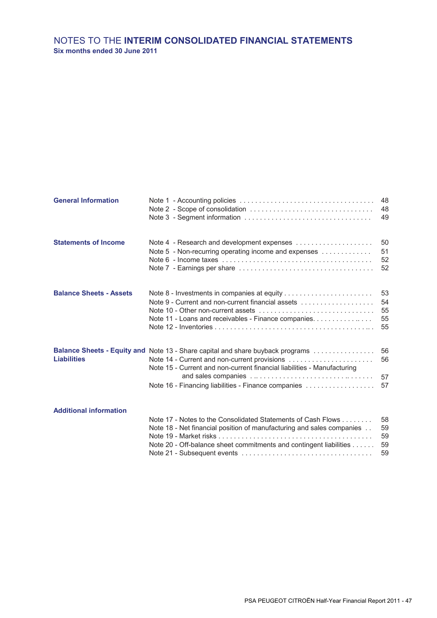## **Six months ended 30 June 2011** NOTES TO THE **INTERIM CONSOLIDATED FINANCIAL STATEMENTS**

| <b>General Information</b>     | Note 1 - Accounting policies $\ldots \ldots \ldots \ldots \ldots \ldots \ldots \ldots \ldots \ldots \ldots \ldots$                                                                                                                                               | 48<br>48<br>49             |
|--------------------------------|------------------------------------------------------------------------------------------------------------------------------------------------------------------------------------------------------------------------------------------------------------------|----------------------------|
| <b>Statements of Income</b>    | Note 4 - Research and development expenses<br>Note 5 - Non-recurring operating income and expenses                                                                                                                                                               | 50<br>51<br>52<br>52       |
| <b>Balance Sheets - Assets</b> | Note 9 - Current and non-current financial assets<br>Note 11 - Loans and receivables - Finance companies.                                                                                                                                                        | 53<br>54<br>55<br>55<br>55 |
| <b>Liabilities</b>             | Balance Sheets - Equity and Note 13 - Share capital and share buyback programs<br>Note 14 - Current and non-current provisions<br>Note 15 - Current and non-current financial liabilities - Manufacturing<br>Note 16 - Financing liabilities - Finance companies | 56<br>56<br>57<br>57       |
| <b>Additional information</b>  | Note 17 - Notes to the Consolidated Statements of Cash Flows<br>Note 18 - Net financial position of manufacturing and sales companies<br>Note 20 - Off-balance sheet commitments and contingent liabilities                                                      | 58<br>59<br>59<br>59<br>59 |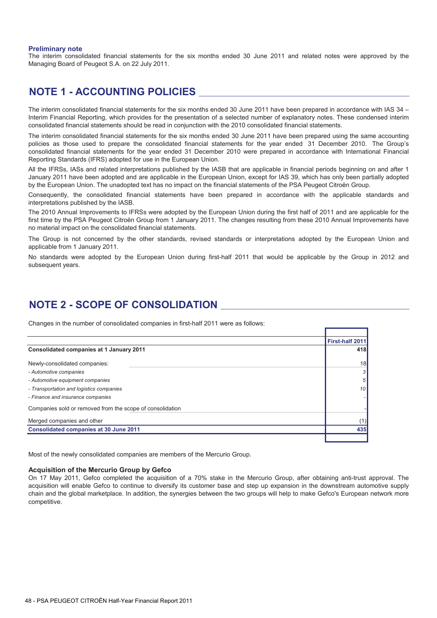#### **Preliminary note**

The interim consolidated financial statements for the six months ended 30 June 2011 and related notes were approved by the Managing Board of Peugeot S.A. on 22 July 2011.

## **NOTE 1 - ACCOUNTING POLICIES** \_\_\_\_\_\_\_\_\_\_\_\_\_\_\_\_\_\_\_\_\_\_\_\_\_\_\_\_\_\_\_\_\_\_\_\_\_\_\_\_\_\_\_\_\_\_\_\_\_\_\_\_\_\_\_\_\_\_\_\_\_\_\_\_\_\_\_

The interim consolidated financial statements for the six months ended 30 June 2011 have been prepared in accordance with IAS 34 – Interim Financial Reporting, which provides for the presentation of a selected number of explanatory notes. These condensed interim consolidated financial statements should be read in conjunction with the 2010 consolidated financial statements.

The interim consolidated financial statements for the six months ended 30 June 2011 have been prepared using the same accounting policies as those used to prepare the consolidated financial statements for the year ended 31 December 2010. The Group's consolidated financial statements for the year ended 31 December 2010 were prepared in accordance with International Financial Reporting Standards (IFRS) adopted for use in the European Union.

All the IFRSs, IASs and related interpretations published by the IASB that are applicable in financial periods beginning on and after 1 January 2011 have been adopted and are applicable in the European Union, except for IAS 39, which has only been partially adopted by the European Union. The unadopted text has no impact on the financial statements of the PSA Peugeot Citroën Group.

Consequently, the consolidated financial statements have been prepared in accordance with the applicable standards and interpretations published by the IASB.

The 2010 Annual Improvements to IFRSs were adopted by the European Union during the first half of 2011 and are applicable for the first time by the PSA Peugeot Citroën Group from 1 January 2011. The changes resulting from these 2010 Annual Improvements have no material impact on the consolidated financial statements.

The Group is not concerned by the other standards, revised standards or interpretations adopted by the European Union and applicable from 1 January 2011.

No standards were adopted by the European Union during first-half 2011 that would be applicable by the Group in 2012 and subsequent years.

## **NOTE 2 - SCOPE OF CONSOLIDATION** \_\_\_\_\_\_\_\_\_\_\_\_\_\_\_\_\_\_\_\_\_\_\_\_\_\_\_\_\_\_\_\_\_\_\_\_\_\_\_\_\_\_\_\_\_\_\_\_\_\_\_\_\_\_\_\_\_\_\_\_

Changes in the number of consolidated companies in first-half 2011 were as follows:

|                                                           | <b>First-half 2011</b> |
|-----------------------------------------------------------|------------------------|
| Consolidated companies at 1 January 2011                  | 418                    |
| Newly-consolidated companies:                             | 18                     |
| - Automotive companies                                    | 3                      |
| - Automotive equipment companies                          | 5                      |
| - Transportation and logistics companies                  | 10                     |
| - Finance and insurance companies                         |                        |
| Companies sold or removed from the scope of consolidation |                        |
| Merged companies and other                                |                        |
| <b>Consolidated companies at 30 June 2011</b>             | 435                    |
|                                                           |                        |

Most of the newly consolidated companies are members of the Mercurio Group.

### **Acquisition of the Mercurio Group by Gefco**

On 17 May 2011, Gefco completed the acquisition of a 70% stake in the Mercurio Group, after obtaining anti-trust approval. The acquisition will enable Gefco to continue to diversify its customer base and step up expansion in the downstream automotive supply chain and the global marketplace. In addition, the synergies between the two groups will help to make Gefco's European network more competitive.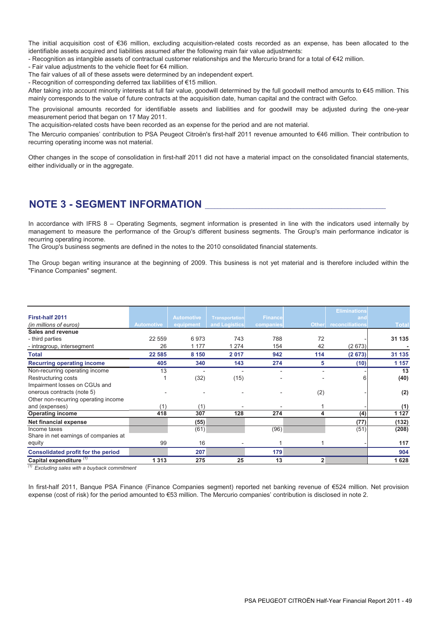The initial acquisition cost of €36 million, excluding acquisition-related costs recorded as an expense, has been allocated to the identifiable assets acquired and liabilities assumed after the following main fair value adjustments:

- Recognition as intangible assets of contractual customer relationships and the Mercurio brand for a total of €42 million.

- Fair value adjustments to the vehicle fleet for €4 million.

The fair values of all of these assets were determined by an independent expert.

- Recognition of corresponding deferred tax liabilities of €15 million.

After taking into account minority interests at full fair value, goodwill determined by the full goodwill method amounts to €45 million. This mainly corresponds to the value of future contracts at the acquisition date, human capital and the contract with Gefco.

The provisional amounts recorded for identifiable assets and liabilities and for goodwill may be adjusted during the one-year measurement period that began on 17 May 2011.

The acquisition-related costs have been recorded as an expense for the period and are not material.

The Mercurio companies' contribution to PSA Peugeot Citroën's first-half 2011 revenue amounted to €46 million. Their contribution to recurring operating income was not material.

Other changes in the scope of consolidation in first-half 2011 did not have a material impact on the consolidated financial statements, either individually or in the aggregate.

## **NOTE 3 - SEGMENT INFORMATION** \_\_\_\_\_\_\_\_\_\_\_\_\_\_\_\_\_\_\_\_\_\_\_\_\_\_\_\_\_\_\_\_\_\_\_\_\_\_\_\_\_\_\_\_\_\_\_\_\_\_\_\_\_\_\_\_\_

In accordance with IFRS 8 - Operating Segments, segment information is presented in line with the indicators used internally by management to measure the performance of the Group's different business segments. The Group's main performance indicator is recurring operating income.

The Group's business segments are defined in the notes to the 2010 consolidated financial statements.

The Group began writing insurance at the beginning of 2009. This business is not yet material and is therefore included within the "Finance Companies" segment.

|                                       |                   |                   |                       |                |              | <b>Eliminations</b> |              |
|---------------------------------------|-------------------|-------------------|-----------------------|----------------|--------------|---------------------|--------------|
| First-half 2011                       |                   | <b>Automotive</b> | <b>Transportation</b> | <b>Finance</b> |              | and                 |              |
| (in millions of euros)                | <b>Automotive</b> | equipment         | and Logistics         | companies      | <b>Other</b> | reconciliations     | <b>Total</b> |
| Sales and revenue                     |                   |                   |                       |                |              |                     |              |
| - third parties                       | 22 559            | 6973              | 743                   | 788            | 72           |                     | 31 135       |
| - intragroup, intersegment            | 26                | 1 177             | 1 2 7 4               | 154            | 42           | (2673)              |              |
| <b>Total</b>                          | 22 585            | 8 1 5 0           | 2017                  | 942            | 114          | (2673)              | 31 135       |
| <b>Recurring operating income</b>     | 405               | 340               | 143                   | 274            | 5            | (10)                | 1 1 5 7      |
| Non-recurring operating income        | 13                |                   |                       |                |              |                     | 13           |
| Restructuring costs                   |                   | (32)              | (15)                  |                |              | 6                   | (40)         |
| Impairment losses on CGUs and         |                   |                   |                       |                |              |                     |              |
| onerous contracts (note 5)            |                   |                   |                       |                | (2)          |                     | (2)          |
| Other non-recurring operating income  |                   |                   |                       |                |              |                     |              |
| and (expenses)                        | (1)               | (1)               |                       |                |              |                     | (1)          |
| <b>Operating income</b>               | 418               | 307               | 128                   | 274            | 4            | (4)                 | 1 1 2 7      |
| Net financial expense                 |                   | (55)              |                       |                |              | (77)                | (132)        |
| Income taxes                          |                   | (61)              |                       | (96)           |              | (51)                | (208)        |
| Share in net earnings of companies at |                   |                   |                       |                |              |                     |              |
| equity                                | 99                | 16                |                       |                |              |                     | 117          |
| Consolidated profit for the period    |                   | 207               |                       | 179            |              |                     | 904          |
| Capital expenditure <sup>(1)</sup>    | 1 3 1 3           | 275               | 25                    | 13             | $\mathbf{2}$ |                     | 1628         |

*(1) Excluding sales with a buyback commitment*

In first-half 2011, Banque PSA Finance (Finance Companies segment) reported net banking revenue of €524 million. Net provision expense (cost of risk) for the period amounted to €53 million. The Mercurio companies' contribution is disclosed in note 2.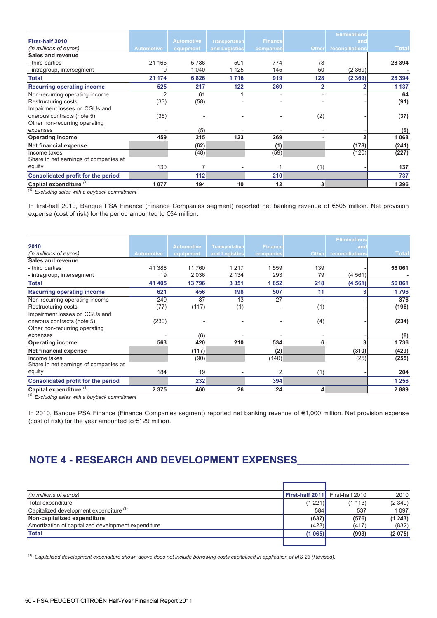|                                       |                   |                   |                       |                |                | <b>Eliminations</b> |              |
|---------------------------------------|-------------------|-------------------|-----------------------|----------------|----------------|---------------------|--------------|
| First-half 2010                       |                   | <b>Automotive</b> | <b>Transportation</b> | <b>Finance</b> |                | and                 |              |
| (in millions of euros)                | <b>Automotive</b> | equipment         | and Logistics         | companies      | <b>Other</b>   | reconciliations     | <b>Total</b> |
| Sales and revenue                     |                   |                   |                       |                |                |                     |              |
| - third parties                       | 21 165            | 5786              | 591                   | 774            | 78             |                     | 28 3 94      |
| - intragroup, intersegment            | 9                 | 1 0 4 0           | 1 1 2 5               | 145            | 50             | (2369)              |              |
| <b>Total</b>                          | 21 174            | 6826              | 1716                  | 919            | 128            | (2369)              | 28 394       |
| <b>Recurring operating income</b>     | 525               | 217               | 122                   | 269            | $\overline{2}$ | ົ                   | 1 1 3 7      |
| Non-recurring operating income        | 2                 | 61                |                       |                |                |                     | 64           |
| Restructuring costs                   | (33)              | (58)              |                       |                |                |                     | (91)         |
| Impairment losses on CGUs and         |                   |                   |                       |                |                |                     |              |
| onerous contracts (note 5)            | (35)              |                   |                       |                | (2)            |                     | (37)         |
| Other non-recurring operating         |                   |                   |                       |                |                |                     |              |
| expenses                              |                   | (5)               |                       |                |                |                     | (5)          |
| <b>Operating income</b>               | 459               | 215               | 123                   | 269            |                | $\overline{2}$      | 1 0 6 8      |
| Net financial expense                 |                   | (62)              |                       | (1)            |                | (178)               | (241)        |
| Income taxes                          |                   | (48)              |                       | (59)           |                | (120)               | (227)        |
| Share in net earnings of companies at |                   |                   |                       |                |                |                     |              |
| equity                                | 130               |                   |                       |                | (1)            |                     | 137          |
| Consolidated profit for the period    |                   | 112               |                       | 210            |                |                     | 737          |
| Capital expenditure <sup>(1)</sup>    | 1 0 7 7           | 194               | 10                    | 12             | 3              |                     | 1 2 9 6      |

*(1) Excluding sales with a buyback commitment*

In first-half 2010, Banque PSA Finance (Finance Companies segment) reported net banking revenue of €505 million. Net provision expense (cost of risk) for the period amounted to €54 million.

|                                       |                   |                   |                       |                |              | <b>Eliminations</b> |              |
|---------------------------------------|-------------------|-------------------|-----------------------|----------------|--------------|---------------------|--------------|
| 2010                                  |                   | <b>Automotive</b> | <b>Transportation</b> | <b>Finance</b> |              | and                 |              |
| (in millions of euros)                | <b>Automotive</b> | equipment         | and Logistics         | companies      | <b>Other</b> | reconciliations     | <b>Total</b> |
| Sales and revenue                     |                   |                   |                       |                |              |                     |              |
| - third parties                       | 41 386            | 11 760            | 1 2 1 7               | 559            | 139          |                     | 56 061       |
| - intragroup, intersegment            | 19                | 2036              | 2 1 3 4               | 293            | 79           | (4561)              |              |
| <b>Total</b>                          | 41 405            | 13796             | 3 3 5 1               | 1852           | 218          | (4561)              | 56 061       |
| <b>Recurring operating income</b>     | 621               | 456               | 198                   | 507            | 11           | 3                   | 1796         |
| Non-recurring operating income        | 249               | 87                | 13                    | 27             |              |                     | 376          |
| Restructuring costs                   | (77)              | (117)             | (1)                   |                | (1)          |                     | (196)        |
| Impairment losses on CGUs and         |                   |                   |                       |                |              |                     |              |
| onerous contracts (note 5)            | (230)             |                   |                       |                | (4)          |                     | (234)        |
| Other non-recurring operating         |                   |                   |                       |                |              |                     |              |
| expenses                              |                   | (6)               |                       |                |              |                     | (6)          |
| <b>Operating income</b>               | 563               | 420               | 210                   | 534            | 6            | 3                   | 1736         |
| Net financial expense                 |                   | (117)             |                       | (2)            |              | (310)               | (429)        |
| Income taxes                          |                   | (90)              |                       | (140)          |              | (25)                | (255)        |
| Share in net earnings of companies at |                   |                   |                       |                |              |                     |              |
| equity                                | 184               | 19                |                       | 2              | (1)          |                     | 204          |
| Consolidated profit for the period    |                   | 232               |                       | 394            |              |                     | 1 2 5 6      |
| Capital expenditure (1)<br>(4)        | 2 3 7 5           | 460               | 26                    | 24             | 4            |                     | 2889         |

*(1) Excluding sales with a buyback commitment*

In 2010, Banque PSA Finance (Finance Companies segment) reported net banking revenue of €1,000 million. Net provision expense (cost of risk) for the year amounted to €129 million.

# NOTE 4 - RESEARCH AND DEVELOPMENT EXPENSES

| (in millions of euros)                              |         | First-half 2011 First-half 2010 | 2010    |
|-----------------------------------------------------|---------|---------------------------------|---------|
| Total expenditure                                   | (1 221) | (1113)                          | (2340)  |
| Capitalized development expenditure <sup>(1)</sup>  | 584     | 537                             | 1 0 9 7 |
| Non-capitalized expenditure                         | (637)   | (576)                           | (1243)  |
| Amortization of capitalized development expenditure | (428)   | (417)                           | (832)   |
| <b>Total</b>                                        | (1065)  | (993)                           | (2075)  |
|                                                     |         |                                 |         |

*(1) Capitalised development expenditure shown above does not include borrowing costs capitalised in application of IAS 23 (Revised).*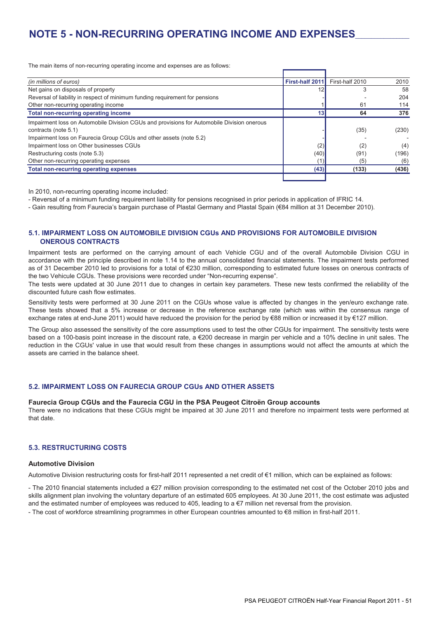## **NOTE 5 - NON-RECURRING OPERATING INCOME AND EXPENSES**\_\_\_\_\_\_\_\_\_\_\_\_\_\_\_\_\_\_

The main items of non-recurring operating income and expenses are as follows:

| (in millions of euros)                                                                     | First-half 2011 | First-half 2010 | 2010  |
|--------------------------------------------------------------------------------------------|-----------------|-----------------|-------|
| Net gains on disposals of property                                                         |                 | 3               | 58    |
| Reversal of liability in respect of minimum funding requirement for pensions               |                 |                 | 204   |
| Other non-recurring operating income                                                       |                 | 61              | 114   |
| <b>Total non-recurring operating income</b>                                                | 13              | 64              | 376   |
| Impairment loss on Automobile Division CGUs and provisions for Automobile Division onerous |                 |                 |       |
| contracts (note 5.1)                                                                       |                 | (35)            | (230) |
| Impairment loss on Faurecia Group CGUs and other assets (note 5.2)                         |                 |                 |       |
| Impairment loss on Other businesses CGUs                                                   | (2)             | (2)             | (4)   |
| Restructuring costs (note 5.3)                                                             | (40)            | (91)            | (196) |
| Other non-recurring operating expenses                                                     |                 | (5)             | (6)   |
| <b>Total non-recurring operating expenses</b>                                              | (43)            | (133)           | (436) |
|                                                                                            |                 |                 |       |

In 2010, non-recurring operating income included:

- Reversal of a minimum funding requirement liability for pensions recognised in prior periods in application of IFRIC 14.

- Gain resulting from Faurecia's bargain purchase of Plastal Germany and Plastal Spain (€84 million at 31 December 2010).

### **5.1. IMPAIRMENT LOSS ON AUTOMOBILE DIVISION CGUs AND PROVISIONS FOR AUTOMOBILE DIVISION ONEROUS CONTRACTS**

Impairment tests are performed on the carrying amount of each Vehicle CGU and of the overall Automobile Division CGU in accordance with the principle described in note 1.14 to the annual consolidated financial statements. The impairment tests performed as of 31 December 2010 led to provisions for a total of €230 million, corresponding to estimated future losses on onerous contracts of the two Vehicule CGUs. These provisions were recorded under "Non-recurring expense".

The tests were updated at 30 June 2011 due to changes in certain key parameters. These new tests confirmed the reliability of the discounted future cash flow estimates.

Sensitivity tests were performed at 30 June 2011 on the CGUs whose value is affected by changes in the yen/euro exchange rate. These tests showed that a 5% increase or decrease in the reference exchange rate (which was within the consensus range of exchange rates at end-June 2011) would have reduced the provision for the period by €88 million or increased it by €127 million.

The Group also assessed the sensitivity of the core assumptions used to test the other CGUs for impairment. The sensitivity tests were based on a 100-basis point increase in the discount rate, a €200 decrease in margin per vehicle and a 10% decline in unit sales. The reduction in the CGUs' value in use that would result from these changes in assumptions would not affect the amounts at which the assets are carried in the balance sheet.

#### **5.2. IMPAIRMENT LOSS ON FAURECIA GROUP CGUs AND OTHER ASSETS**

#### **Faurecia Group CGUs and the Faurecia CGU in the PSA Peugeot Citroën Group accounts**

There were no indications that these CGUs might be impaired at 30 June 2011 and therefore no impairment tests were performed at that date.

### **5.3. RESTRUCTURING COSTS**

#### **Automotive Division**

Automotive Division restructuring costs for first-half 2011 represented a net credit of €1 million, which can be explained as follows:

- The 2010 financial statements included a €27 million provision corresponding to the estimated net cost of the October 2010 jobs and skills alignment plan involving the voluntary departure of an estimated 605 employees. At 30 June 2011, the cost estimate was adjusted and the estimated number of employees was reduced to 405, leading to  $a \in 7$  million net reversal from the provision.

- The cost of workforce streamlining programmes in other European countries amounted to €8 million in first-half 2011.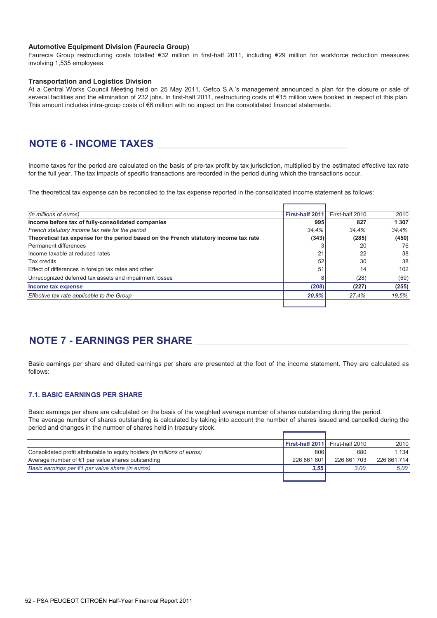#### **Automotive Equipment Division (Faurecia Group)**

Faurecia Group restructuring costs totalled €32 million in first-half 2011, including €29 million for workforce reduction measures involving 1,535 employees.

#### **Transportation and Logistics Division**

At a Central Works Council Meeting held on 25 May 2011, Gefco S.A.'s management announced a plan for the closure or sale of several facilities and the elimination of 232 jobs. In first-half 2011, restructuring costs of €15 million were booked in respect of this plan. This amount includes intra-group costs of €6 million with no impact on the consolidated financial statements.

## **NOTE 6 - INCOME TAXES**

Income taxes for the period are calculated on the basis of pre-tax profit by tax jurisdiction, multiplied by the estimated effective tax rate for the full year. The tax impacts of specific transactions are recorded in the period during which the transactions occur.

The theoretical tax expense can be reconciled to the tax expense reported in the consolidated income statement as follows:

| (in millions of euros)                                                               | First-half 2011 | First-half 2010 | 2010    |
|--------------------------------------------------------------------------------------|-----------------|-----------------|---------|
| Income before tax of fully-consolidated companies                                    | 995             | 827             | 1 3 0 7 |
| French statutory income tax rate for the period                                      | 34.4%           | 34.4%           | 34.4%   |
| Theoretical tax expense for the period based on the French statutory income tax rate | (343)           | (285)           | (450)   |
| Permanent differences                                                                |                 | 20              | 76      |
| Income taxable at reduced rates                                                      | 21              | 22              | 38      |
| Tax credits                                                                          | 52              | 30              | 38      |
| Effect of differences in foreign tax rates and other                                 | 51              | 14              | 102     |
| Unrecognized deferred tax assets and impairment losses                               |                 | (28)            | (59)    |
| Income tax expense                                                                   | (208)           | (227)           | (255)   |
| Effective tax rate applicable to the Group                                           | 20,9%           | 27.4%           | 19.5%   |
|                                                                                      |                 |                 |         |

## **NOTE 7 - EARNINGS PER SHARE**

Basic earnings per share and diluted earnings per share are presented at the foot of the income statement. They are calculated as follows:

### **7.1. BASIC EARNINGS PER SHARE**

Basic earnings per share are calculated on the basis of the weighted average number of shares outstanding during the period. The average number of shares outstanding is calculated by taking into account the number of shares issued and cancelled during the period and changes in the number of shares held in treasury stock.

|                                                                                  | First-half 2011 | First-half 2010 | 2010        |
|----------------------------------------------------------------------------------|-----------------|-----------------|-------------|
| Consolidated profit attributable to equity holders <i>(in millions of euros)</i> | 806             | 680             | 1 134       |
| Average number of $\epsilon$ 1 par value shares outstanding                      | 226 861 801     | 226 861 703     | 226 861 714 |
| Basic earnings per $\epsilon$ 1 par value share (in euros)                       | 3.55            | 3.00            | 5.00        |
|                                                                                  |                 |                 |             |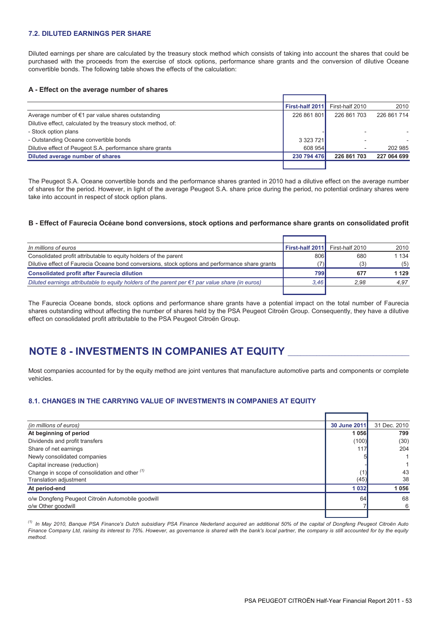#### **7.2. DILUTED EARNINGS PER SHARE**

Diluted earnings per share are calculated by the treasury stock method which consists of taking into account the shares that could be purchased with the proceeds from the exercise of stock options, performance share grants and the conversion of dilutive Oceane convertible bonds. The following table shows the effects of the calculation:

#### **A - Effect on the average number of shares**

|                                                               | <b>First-half 2011</b> | First-half 2010 | 2010        |
|---------------------------------------------------------------|------------------------|-----------------|-------------|
| Average number of $\epsilon$ 1 par value shares outstanding   | 226 861 801            | 226 861 703     | 226 861 714 |
| Dilutive effect, calculated by the treasury stock method, of: |                        |                 |             |
| - Stock option plans                                          |                        |                 |             |
| - Outstanding Oceane convertible bonds                        | 3 3 2 3 7 2 1          |                 |             |
| Dilutive effect of Peugeot S.A. performance share grants      | 608 954                |                 | 202 985     |
| Diluted average number of shares                              | 230 794 476            | 226 861 703     | 227 064 699 |
|                                                               |                        |                 |             |

The Peugeot S.A. Oceane convertible bonds and the performance shares granted in 2010 had a dilutive effect on the average number of shares for the period. However, in light of the average Peugeot S.A. share price during the period, no potential ordinary shares were take into account in respect of stock option plans.

#### **B - Effect of Faurecia Océane bond conversions, stock options and performance share grants on consolidated profit**

| In millions of euros                                                                                      | First-half 2011 | First-half 2010 | 2010    |
|-----------------------------------------------------------------------------------------------------------|-----------------|-----------------|---------|
| Consolidated profit attributable to equity holders of the parent                                          | 806             | 680             | 1 1 3 4 |
| Dilutive effect of Faurecia Oceane bond conversions, stock options and performance share grants           |                 | (3)             | (5)     |
| <b>Consolidated profit after Faurecia dilution</b>                                                        | 7991            | 677             | 1 129   |
| Diluted earnings attributable to equity holders of the parent per $\epsilon$ 1 par value share (in euros) | 3.46            | 2.98            | 4.97    |
|                                                                                                           |                 |                 |         |

The Faurecia Oceane bonds, stock options and performance share grants have a potential impact on the total number of Faurecia shares outstanding without affecting the number of shares held by the PSA Peugeot Citroën Group. Consequently, they have a dilutive effect on consolidated profit attributable to the PSA Peugeot Citroën Group.

## NOTE 8 - INVESTMENTS IN COMPANIES AT EQUITY

Most companies accounted for by the equity method are joint ventures that manufacture automotive parts and components or complete vehicles.

#### **8.1. CHANGES IN THE CARRYING VALUE OF INVESTMENTS IN COMPANIES AT EQUITY**

| (in millions of euros)                           | 30 June 2011 | 31 Dec. 2010 |
|--------------------------------------------------|--------------|--------------|
| At beginning of period                           | 1 0 5 6      | 799          |
| Dividends and profit transfers                   | (100)        | (30)         |
| Share of net earnings                            | 117          | 204          |
| Newly consolidated companies                     |              |              |
| Capital increase (reduction)                     |              |              |
| Change in scope of consolidation and other (1)   |              | 43           |
| <b>Translation adjustment</b>                    | (45)         | 38           |
| At period-end                                    | 1 0 3 2      | 1056         |
| o/w Dongfeng Peugeot Citroën Automobile goodwill | 64           | 68           |
| o/w Other goodwill                               |              | 6            |
|                                                  |              |              |

*(1) In May 2010, Banque PSA Finance's Dutch subsidiary PSA Finance Nederland acquired an additional 50% of the capital of Dongfeng Peugeot Citroën Auto Finance Company Ltd, raising its interest to 75%. However, as governance is shared with the bank's local partner, the company is still accounted for by the equity method.*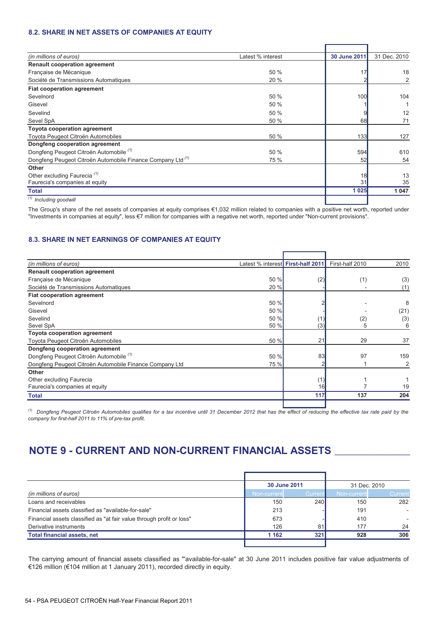### **8.2. SHARE IN NET ASSETS OF COMPANIES AT EQUITY**

| Latest % interest | 30 June 2011 | 31 Dec. 2010  |
|-------------------|--------------|---------------|
|                   |              |               |
| 50 %              |              | 18            |
| 20 %              |              | 2             |
|                   |              |               |
| 50 %              | 100          | 104           |
| 50 %              |              |               |
| 50 %              |              | 12            |
| 50 %              | 68           | 71            |
|                   |              |               |
| 50 %              | 133          | 127           |
|                   |              |               |
| 50 %              | 594          | 610           |
| 75 %              | 52           | 54            |
|                   |              |               |
|                   | 18           | 13<br>35      |
|                   |              | 1 0 4 7       |
|                   |              |               |
|                   |              | 31<br>1 0 2 5 |

The Group's share of the net assets of companies at equity comprises €1,032 million related to companies with a positive net worth, reported under "Investments in companies at equity", less €7 million for companies with a negative net worth, reported under "Non-current provisions".

### **8.3. SHARE IN NET EARNINGS OF COMPANIES AT EQUITY**

| (in millions of euros)                                  | Latest % interest <b>  First-half 2011</b> |     | First-half 2010 | 2010 |
|---------------------------------------------------------|--------------------------------------------|-----|-----------------|------|
| <b>Renault cooperation agreement</b>                    |                                            |     |                 |      |
| Française de Mécanique                                  | 50 %                                       | (2) | (1)             | (3)  |
| Société de Transmissions Automatiques                   | 20 %                                       |     |                 | (1)  |
| <b>Fiat cooperation agreement</b>                       |                                            |     |                 |      |
| Sevelnord                                               | 50 %                                       |     |                 | 8    |
| Gisevel                                                 | 50 %                                       |     |                 | (21) |
| Sevelind                                                | 50 %                                       |     | (2)             | (3)  |
| Sevel SpA                                               | 50 %                                       | (3) | 5               | 6    |
| <b>Toyota cooperation agreement</b>                     |                                            |     |                 |      |
| Toyota Peugeot Citroën Automobiles                      | 50 %                                       | 21  | 29              | 37   |
| Dongfeng cooperation agreement                          |                                            |     |                 |      |
| Dongfeng Peugeot Citroën Automobile (1)                 | 50 %                                       | 83  | 97              | 159  |
| Dongfeng Peugeot Citroën Automobile Finance Company Ltd | 75 %                                       |     |                 | 2    |
| Other                                                   |                                            |     |                 |      |
| Other excluding Faurecia                                |                                            |     |                 |      |
| Faurecia's companies at equity                          |                                            | 16  |                 | 19   |
| Total                                                   |                                            | 117 | 137             | 204  |
|                                                         |                                            |     |                 |      |

*(1) Dongfeng Peugeot Citroën Automobiles qualifies for a tax incentive until 31 December 2012 that has the effect of reducing the effective tax rate paid by the company for first-half 2011 to 11% of pre-tax profit.* 

# **NOTE 9 - CURRENT AND NON-CURRENT FINANCIAL ASSETS \_\_\_\_\_\_\_\_\_\_\_\_\_\_\_\_\_\_\_\_\_\_\_\_\_\_\_\_\_\_**

|                                                                       |             | 30 June 2011 |             | 31 Dec. 2010 |  |
|-----------------------------------------------------------------------|-------------|--------------|-------------|--------------|--|
| (in millions of euros)                                                | Non-current | Currer       | Non-current | Current      |  |
| Loans and receivables                                                 | 150         | 240          | 150         | 282          |  |
| Financial assets classified as "available-for-sale"                   | 213         |              | 191         |              |  |
| Financial assets classified as "at fair value through profit or loss" | 673         |              | 410         |              |  |
| Derivative instruments                                                | 126         | 81           | 177         | 24           |  |
| <b>Total financial assets, net</b>                                    | 1 1 6 2     | 321          | 928         | 306          |  |
|                                                                       |             |              |             |              |  |

The carrying amount of financial assets classified as "'available-for-sale" at 30 June 2011 includes positive fair value adjustments of €126 million (€104 million at 1 January 2011), recorded directly in equity.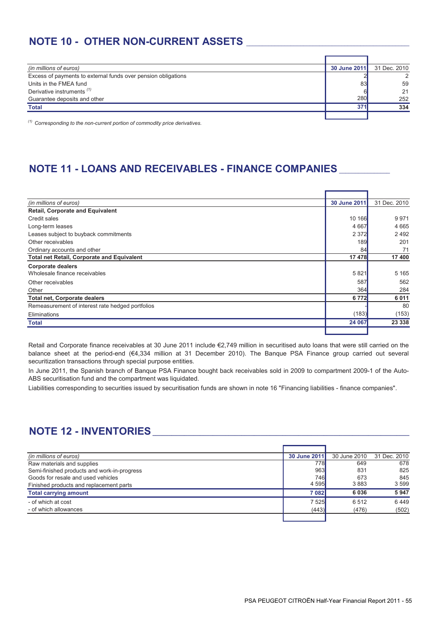# **NOTE 10 - OTHER NON-CURRENT ASSETS**

| (in millions of euros)                                        | 30 June 2011 | 31 Dec. 2010  |
|---------------------------------------------------------------|--------------|---------------|
| Excess of payments to external funds over pension obligations |              | $\mathcal{D}$ |
| Units in the FMEA fund                                        | 83           | 59            |
| Derivative instruments <sup>(1)</sup>                         |              | 21            |
| Guarantee deposits and other                                  | 280          | 252           |
| <b>Total</b>                                                  | 371          | 334           |
|                                                               |              |               |

*(1) Corresponding to the non-current portion of commodity price derivatives.*

# **NOTE 11 - LOANS AND RECEIVABLES - FINANCE COMPANIES**

| (in millions of euros)                            | 30 June 2011 | 31 Dec. 2010 |
|---------------------------------------------------|--------------|--------------|
| <b>Retail, Corporate and Equivalent</b>           |              |              |
| Credit sales                                      | 10 166       | 9971         |
| Long-term leases                                  | 4 6 6 7      | 4 6 6 5      |
| Leases subject to buyback commitments             | 2 3 7 2      | 2492         |
| Other receivables                                 | 189          | 201          |
| Ordinary accounts and other                       | 84           | 71           |
| <b>Total net Retail, Corporate and Equivalent</b> | 17478        | 17 400       |
| <b>Corporate dealers</b>                          |              |              |
| Wholesale finance receivables                     | 5821         | 5 1 6 5      |
| Other receivables                                 | 587          | 562          |
| Other                                             | 364          | 284          |
| <b>Total net, Corporate dealers</b>               | 6772         | 6011         |
| Remeasurement of interest rate hedged portfolios  |              | 80           |
| Eliminations                                      | (183)        | (153)        |
| Total                                             | 24 067       | 23 338       |
|                                                   |              |              |

Retail and Corporate finance receivables at 30 June 2011 include €2,749 million in securitised auto loans that were still carried on the balance sheet at the period-end (€4,334 million at 31 December 2010). The Banque PSA Finance group carried out several securitization transactions through special purpose entities.

In June 2011, the Spanish branch of Banque PSA Finance bought back receivables sold in 2009 to compartment 2009-1 of the Auto-ABS securitisation fund and the compartment was liquidated.

Liabilities corresponding to securities issued by securitisation funds are shown in note 16 "Financing liabilities - finance companies".

# **NOTE 12 - INVENTORIES**

| (in millions of euros)                      | 30 June 2011 | 30 June 2010 | 31 Dec. 2010 |
|---------------------------------------------|--------------|--------------|--------------|
| Raw materials and supplies                  | 778I         | 649          | 678          |
| Semi-finished products and work-in-progress | 963          | 831          | 825          |
| Goods for resale and used vehicles          | 746l         | 673          | 845          |
| Finished products and replacement parts     | 4 5 9 5      | 3883         | 3599         |
| <b>Total carrying amount</b>                | 7082         | 6036         | 5947         |
| - of which at cost                          | 7 5 25       | 6512         | 6449         |
| - of which allowances                       | (443)        | (476)        | (502)        |
|                                             |              |              |              |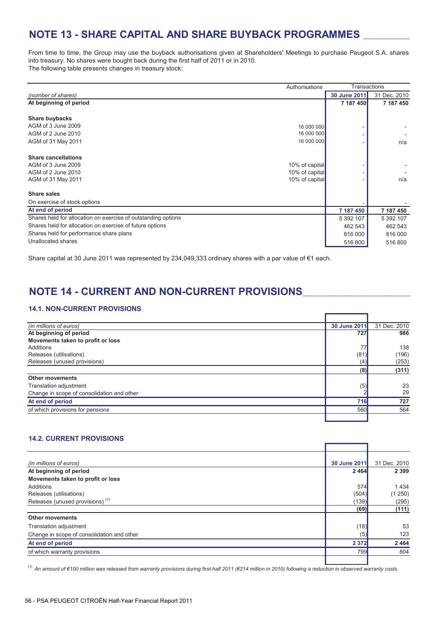# **NOTE 13 - SHARE CAPITAL AND SHARE BUYBACK PROGRAMMES**

From time to time, the Group may use the buyback authorisations given at Shareholders' Meetings to purchase Peugeot S.A. shares into treasury. No shares were bought back during the first half of 2011 or in 2010. The following table presents changes in treasury stock:

|                                                               | Authorisations | Transactions |              |
|---------------------------------------------------------------|----------------|--------------|--------------|
| (number of shares)                                            |                | 30 June 2011 | 31 Dec. 2010 |
| At beginning of period                                        |                | 7 187 450    | 7 187 450    |
|                                                               |                |              |              |
| Share buybacks                                                |                |              |              |
| AGM of 3 June 2009                                            | 16 000 000     |              |              |
| AGM of 2 June 2010                                            | 16 000 000     |              |              |
| AGM of 31 May 2011                                            | 16 000 000     |              | n/a          |
|                                                               |                |              |              |
| <b>Share cancellations</b>                                    |                |              |              |
| AGM of 3 June 2009                                            | 10% of capital |              |              |
| AGM of 2 June 2010                                            | 10% of capital |              |              |
| AGM of 31 May 2011                                            | 10% of capital |              | n/a          |
| <b>Share sales</b>                                            |                |              |              |
| On exercise of stock options                                  |                |              |              |
| At end of period                                              |                | 7 187 450    | 7 187 450    |
| Shares held for allocation on exercise of outstanding options |                | 5 392 107    | 5 392 107    |
| Shares held for allocation on exercise of future options      |                | 462 543      | 462 543      |
| Shares held for performance share plans                       |                | 816 000      | 816 000      |
| Unallocated shares                                            |                | 516 800      | 516 800      |

Share capital at 30 June 2011 was represented by 234,049,333 ordinary shares with a par value of €1 each.

# NOTE 14 - CURRENT AND NON-CURRENT PROVISIONS

### **14.1. NON-CURRENT PROVISIONS**

| (in millions of euros)                     | 30 June 2011 | 31 Dec. 2010 |
|--------------------------------------------|--------------|--------------|
| At beginning of period                     | 727          | 986          |
| Movements taken to profit or loss          |              |              |
| Additions                                  | 77           | 138          |
| Releases (utilisations)                    | (81)         | (196)        |
| Releases (unused provisions)               | (4)          | (253)        |
|                                            | (8)          | (311)        |
| <b>Other movements</b>                     |              |              |
| Translation adjustment                     | (5)          | 23           |
| Change in scope of consolidation and other |              | 29           |
| At end of period                           | 716          | 727          |
| of which provisions for pensions           | 560          | 564          |
|                                            |              |              |

### **14.2. CURRENT PROVISIONS**

| (in millions of euros)                      | 30 June 2011 | 31 Dec. 2010 |
|---------------------------------------------|--------------|--------------|
| At beginning of period                      | 2 4 6 4      | 2 3 9 9      |
|                                             |              |              |
| Movements taken to profit or loss           |              |              |
| Additions                                   | 574          | 1434         |
| Releases (utilisations)                     | (504)        | (1250)       |
| Releases (unused provisions) <sup>(1)</sup> | (139)        | (295)        |
|                                             | (69)         | (111)        |
| Other movements                             |              |              |
| Translation adjustment                      | (18)         | 53           |
| Change in scope of consolidation and other  | (5)          | 123          |
| At end of period                            | 2 3 7 2      | 2464         |
| of which warranty provisions                | 799          | 804          |
|                                             |              |              |

*(1) An amount of €100 million was released from warranty provisions during first-half 2011 (€214 million in 2010) following a reduction in observed warranty costs.*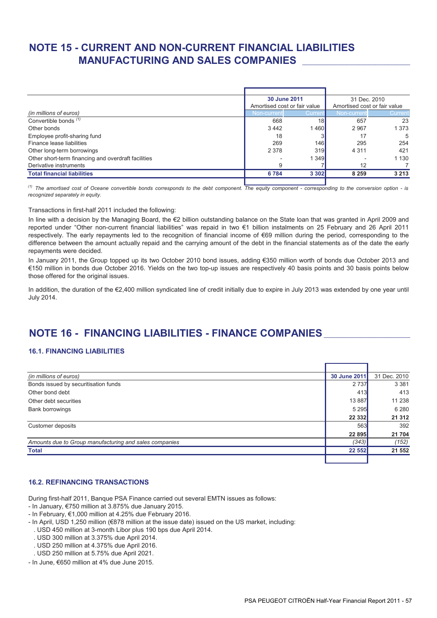# **NOTE 15 - CURRENT AND NON-CURRENT FINANCIAL LIABILITIES MANUFACTURING AND SALES COMPANIES** \_\_\_\_\_\_\_\_\_\_\_\_\_\_\_\_\_\_\_\_\_\_\_\_\_\_\_\_\_\_\_\_\_\_

|                                                     | 30 June 2011 |                              | 31 Dec. 2010 |                              |
|-----------------------------------------------------|--------------|------------------------------|--------------|------------------------------|
|                                                     |              | Amortised cost or fair value |              | Amortised cost or fair value |
| (in millions of euros)                              | Non-current  | Currer                       | Non-current  | Current                      |
| Convertible bonds <sup>(1)</sup>                    | 668          | 18 <sub>1</sub>              | 657          | 23                           |
| Other bonds                                         | 3 4 4 2      | 1460                         | 2 9 6 7      | 1 3 7 3                      |
| Employee profit-sharing fund                        | 18           |                              | 17           | 5                            |
| Finance lease liabilities                           | 269          | 146I                         | 295          | 254                          |
| Other long-term borrowings                          | 2 3 7 8      | 319                          | 4 3 1 1      | 421                          |
| Other short-term financing and overdraft facilities |              | 1 3 4 9                      |              | 1 1 3 0                      |
| Derivative instruments                              | 9            |                              | 12           |                              |
| <b>Total financial liabilities</b>                  | 6784         | 3 3 0 2                      | 8 2 5 9      | 3 2 1 3                      |
|                                                     |              |                              |              |                              |

*(1) The amortised cost of Oceane convertible bonds corresponds to the debt component. The equity component - corresponding to the conversion option - is recognized separately in equity.*

#### Transactions in first-half 2011 included the following:

In line with a decision by the Managing Board, the €2 billion outstanding balance on the State loan that was granted in April 2009 and reported under "Other non-current financial liabilities" was repaid in two €1 billion instalments on 25 February and 26 April 2011 respectively. The early repayments led to the recognition of financial income of €69 million during the period, corresponding to the difference between the amount actually repaid and the carrying amount of the debt in the financial statements as of the date the early repayments were decided.

In January 2011, the Group topped up its two October 2010 bond issues, adding €350 million worth of bonds due October 2013 and €150 million in bonds due October 2016. Yields on the two top-up issues are respectively 40 basis points and 30 basis points below those offered for the original issues.

In addition, the duration of the €2,400 million syndicated line of credit initially due to expire in July 2013 was extended by one year until July 2014.

## **NOTE 16 - FINANCING LIABILITIES - FINANCE COMPANIES**\_\_\_\_\_\_\_\_\_\_\_\_\_\_\_\_\_\_\_\_\_\_\_\_\_\_\_\_

### **16.1. FINANCING LIABILITIES**

| (in millions of euros)                                 | 30 June 2011 | 31 Dec. 2010 |
|--------------------------------------------------------|--------------|--------------|
| Bonds issued by securitisation funds                   | 2 7 3 7      | 3 3 8 1      |
| Other bond debt                                        | 413          | 413          |
| Other debt securities                                  | 13 8 87      | 11 238       |
| <b>Bank borrowings</b>                                 | 5 2 9 5      | 6 2 8 0      |
|                                                        | 22 3 32      | 21 312       |
| Customer deposits                                      | 563          | 392          |
|                                                        | 22 8 95      | 21 704       |
| Amounts due to Group manufacturing and sales companies | (343)        | (152)        |
| <b>Total</b>                                           | 22 552       | 21 552       |
|                                                        |              |              |

### **16.2. REFINANCING TRANSACTIONS**

During first-half 2011, Banque PSA Finance carried out several EMTN issues as follows:

- In January, €750 million at 3.875% due January 2015.
- In February, €1,000 million at 4.25% due February 2016.
- In April, USD 1,250 million (€878 million at the issue date) issued on the US market, including:
- . USD 450 million at 3-month Libor plus 190 bps due April 2014.
- . USD 300 million at 3.375% due April 2014.
- . USD 250 million at 4.375% due April 2016.
- . USD 250 million at 5.75% due April 2021.
- In June, €650 million at 4% due June 2015.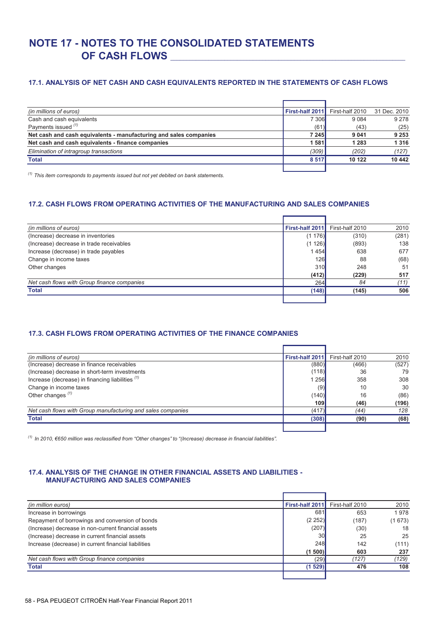# **NOTE 17 - NOTES TO THE CONSOLIDATED STATEMENTS OF CASH FLOWS** \_\_\_\_\_\_\_\_\_\_\_\_\_\_\_\_\_\_\_\_\_\_\_\_\_\_\_\_\_\_\_\_\_\_\_\_\_\_\_\_\_\_\_\_\_\_\_\_\_\_\_\_\_\_\_\_\_\_\_\_\_\_\_\_\_\_\_\_\_\_\_\_\_\_

### **17.1. ANALYSIS OF NET CASH AND CASH EQUIVALENTS REPORTED IN THE STATEMENTS OF CASH FLOWS**

| (in millions of euros)                                            | First-half 2011 | First-half 2010 | 31 Dec. 2010 |
|-------------------------------------------------------------------|-----------------|-----------------|--------------|
| Cash and cash equivalents                                         | <b>7306</b>     | 9 0 8 4         | 9 2 7 8      |
| Payments issued (1)                                               | (61)            | (43)            | (25)         |
| Net cash and cash equivalents - manufacturing and sales companies | 7 245           | 9 0 4 1         | 9 2 5 3      |
| Net cash and cash equivalents - finance companies                 | 1 581           | 1 2 8 3         | 1316         |
| Elimination of intragroup transactions                            | (309)           | (202)           | (127)        |
| <b>Total</b>                                                      | 8 5 1 7         | 10 122          | 10 442       |
|                                                                   |                 |                 |              |

*(1) This item corresponds to payments issued but not yet debited on bank statements.*

### **17.2. CASH FLOWS FROM OPERATING ACTIVITIES OF THE MANUFACTURING AND SALES COMPANIES**

| (in millions of euros)                      | First-half 2011 | First-half 2010 | 2010  |
|---------------------------------------------|-----------------|-----------------|-------|
| (Increase) decrease in inventories          | (1176)          | (310)           | (281) |
| (Increase) decrease in trade receivables    | (1126)          | (893)           | 138   |
| Increase (decrease) in trade payables       | 1454            | 638             | 677   |
| Change in income taxes                      | <b>126</b>      | 88              | (68)  |
| Other changes                               | 310             | 248             | 51    |
|                                             | (412)           | (229)           | 517   |
| Net cash flows with Group finance companies | 264             | 84              | (11)  |
| <b>Total</b>                                | (148)           | (145)           | 506   |
|                                             |                 |                 |       |

### **17.3. CASH FLOWS FROM OPERATING ACTIVITIES OF THE FINANCE COMPANIES**

| (in millions of euros)                                      | First-half 2011 | First-half 2010 | 2010  |
|-------------------------------------------------------------|-----------------|-----------------|-------|
| (Increase) decrease in finance receivables                  | (880)           | (466)           | (527) |
| (Increase) decrease in short-term investments               | (118)           | 36              | 79    |
| Increase (decrease) in financing liabilities (1)            | 1 256           | 358             | 308   |
| Change in income taxes                                      | (9)             | 10              | 30    |
| Other changes $(1)$                                         | (140)           | 16              | (86)  |
|                                                             | 109             | (46)            | (196) |
| Net cash flows with Group manufacturing and sales companies | (417)           | (44)            | 128   |
| <b>Total</b>                                                | (308)           | (90)            | (68)  |
|                                                             |                 |                 |       |

*(1) In 2010, €650 million was reclassified from "Other changes" to "(Increase) decrease in financial liabilities".* 

### **17.4. ANALYSIS OF THE CHANGE IN OTHER FINANCIAL ASSETS AND LIABILITIES - MANUFACTURING AND SALES COMPANIES**

| (in million euros)                                   | First-half 2011 | First-half 2010 | 2010   |
|------------------------------------------------------|-----------------|-----------------|--------|
| Increase in borrowings                               | 681             | 653             | 1978   |
| Repayment of borrowings and conversion of bonds      | (2252)          | (187)           | (1673) |
| (Increase) decrease in non-current financial assets  | (207)           | (30)            | 18     |
| (Increase) decrease in current financial assets      | 30              | 25              | 25     |
| Increase (decrease) in current financial liabilities | <b>248</b>      | 142             | (111)  |
|                                                      | (1500)          | 603             | 237    |
| Net cash flows with Group finance companies          | (29)            | (127)           | (129)  |
| <b>Total</b>                                         | (1529)          | 476             | 108    |
|                                                      |                 |                 |        |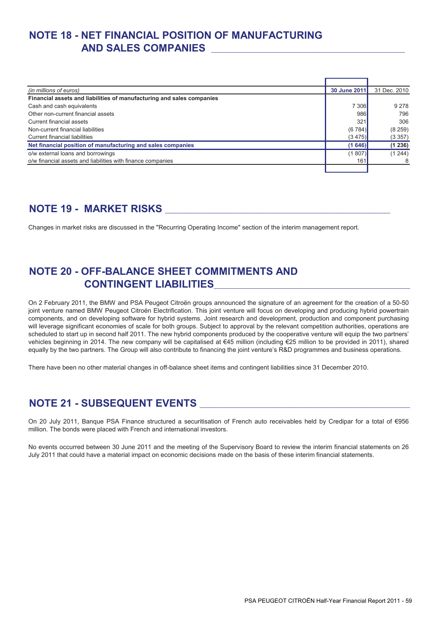# **NOTE 18 - NET FINANCIAL POSITION OF MANUFACTURING AND SALES COMPANIES** \_\_\_\_\_\_\_\_\_\_\_\_\_\_\_\_\_\_\_\_\_\_\_\_\_\_\_\_\_\_\_\_\_\_\_\_\_\_\_\_\_\_\_\_\_\_\_\_\_\_\_\_\_\_\_\_\_\_\_\_\_

| (in millions of euros)                                                | 30 June 2011 | 31 Dec. 2010 |
|-----------------------------------------------------------------------|--------------|--------------|
| Financial assets and liabilities of manufacturing and sales companies |              |              |
| Cash and cash equivalents                                             | 7 3 0 6      | 9 2 7 8      |
| Other non-current financial assets                                    | 986          | 796          |
| Current financial assets                                              | 321          | 306          |
| Non-current financial liabilities                                     | (6784)       | (8259)       |
| Current financial liabilities                                         | (3475)       | (3357)       |
| Net financial position of manufacturing and sales companies           | (1646)       | (1236)       |
| o/w external loans and borrowings                                     | (1807)       | (1244)       |
| o/w financial assets and liabilities with finance companies           | 161          |              |
|                                                                       |              |              |

# **NOTE 19 - MARKET RISKS** \_\_\_\_\_\_\_\_\_\_\_\_\_\_\_\_\_\_\_\_\_\_\_\_\_\_\_\_\_\_\_\_\_\_\_\_\_\_\_\_\_\_\_\_\_\_\_\_\_\_\_\_\_\_\_\_\_\_\_\_\_\_\_\_\_\_\_\_\_\_\_

Changes in market risks are discussed in the "Recurring Operating Income" section of the interim management report.

## **NOTE 20 - OFF-BALANCE SHEET COMMITMENTS AND CONTINGENT LIABILITIES**\_\_\_\_\_\_\_\_\_\_\_\_\_\_\_\_\_\_\_\_\_\_\_\_\_\_\_\_\_\_\_\_\_\_\_\_\_\_\_\_\_\_\_\_\_\_\_\_\_\_\_\_\_\_\_\_\_\_\_\_\_\_

On 2 February 2011, the BMW and PSA Peugeot Citroën groups announced the signature of an agreement for the creation of a 50-50 joint venture named BMW Peugeot Citroën Electrification. This joint venture will focus on developing and producing hybrid powertrain components, and on developing software for hybrid systems. Joint research and development, production and component purchasing will leverage significant economies of scale for both groups. Subject to approval by the relevant competition authorities, operations are scheduled to start up in second half 2011. The new hybrid components produced by the cooperative venture will equip the two partners' vehicles beginning in 2014. The new company will be capitalised at €45 million (including €25 million to be provided in 2011), shared equally by the two partners. The Group will also contribute to financing the joint venture's R&D programmes and business operations.

There have been no other material changes in off-balance sheet items and contingent liabilities since 31 December 2010.

## **NOTE 21 - SUBSEQUENT EVENTS** \_\_\_\_\_\_\_\_\_\_\_\_\_\_\_\_\_\_\_\_\_\_\_\_\_\_\_\_\_\_\_\_\_\_\_\_\_\_\_\_\_\_\_\_\_\_\_\_\_\_\_\_\_\_\_\_\_\_\_\_\_\_\_\_\_\_\_

On 20 July 2011, Banque PSA Finance structured a securitisation of French auto receivables held by Credipar for a total of €956 million. The bonds were placed with French and international investors.

No events occurred between 30 June 2011 and the meeting of the Supervisory Board to review the interim financial statements on 26 July 2011 that could have a material impact on economic decisions made on the basis of these interim financial statements.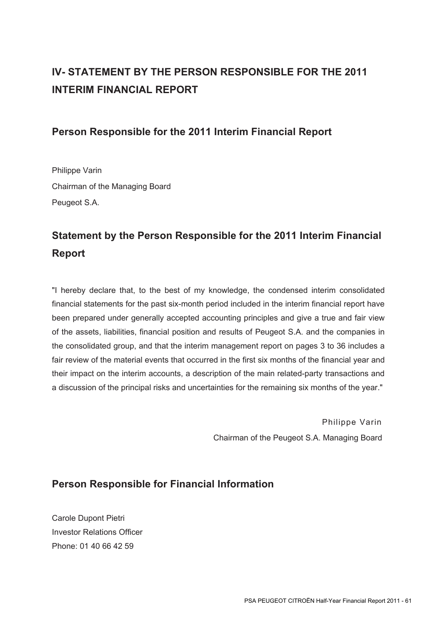# **IV- STATEMENT BY THE PERSON RESPONSIBLE FOR THE 2011 INTERIM FINANCIAL REPORT**

## **Person Responsible for the 2011 Interim Financial Report**

Philippe Varin Chairman of the Managing Board Peugeot S.A.

# **Statement by the Person Responsible for the 2011 Interim Financial Report**

"I hereby declare that, to the best of my knowledge, the condensed interim consolidated financial statements for the past six-month period included in the interim financial report have been prepared under generally accepted accounting principles and give a true and fair view of the assets, liabilities, financial position and results of Peugeot S.A. and the companies in the consolidated group, and that the interim management report on pages 3 to 36 includes a fair review of the material events that occurred in the first six months of the financial year and their impact on the interim accounts, a description of the main related-party transactions and a discussion of the principal risks and uncertainties for the remaining six months of the year."

> Philippe Varin Chairman of the Peugeot S.A. Managing Board

## **Person Responsible for Financial Information**

Carole Dupont Pietri Investor Relations Officer Phone: 01 40 66 42 59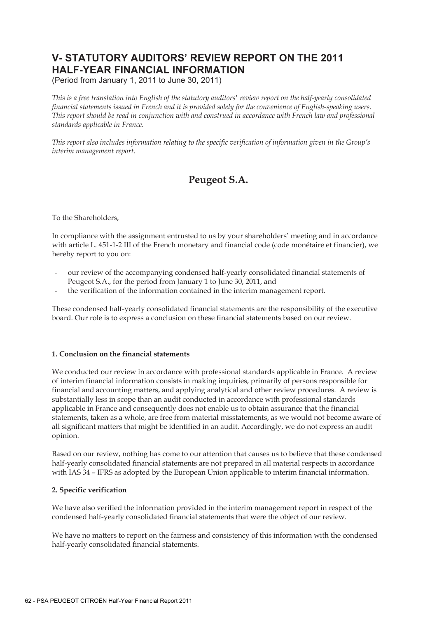## **V- STATUTORY AUDITORS' REVIEW REPORT ON THE 2011 HALF-YEAR FINANCIAL INFORMATION**

(Period from January 1, 2011 to June 30, 2011)

*This is a free translation into English of the statutory auditors' review report on the half-yearly consolidated financial statements issued in French and it is provided solely for the convenience of English-speaking users. This report should be read in conjunction with and construed in accordance with French law and professional standards applicable in France.* 

*This report also includes information relating to the specific verification of information given in the Group's interim management report.* 

## **Peugeot S.A.**

To the Shareholders,

In compliance with the assignment entrusted to us by your shareholders' meeting and in accordance with article L. 451-1-2 III of the French monetary and financial code (code monétaire et financier), we hereby report to you on:

- our review of the accompanying condensed half-yearly consolidated financial statements of Peugeot S.A., for the period from January 1 to June 30, 2011, and
- the verification of the information contained in the interim management report.

These condensed half-yearly consolidated financial statements are the responsibility of the executive board. Our role is to express a conclusion on these financial statements based on our review.

### **1. Conclusion on the financial statements**

We conducted our review in accordance with professional standards applicable in France. A review of interim financial information consists in making inquiries, primarily of persons responsible for financial and accounting matters, and applying analytical and other review procedures. A review is substantially less in scope than an audit conducted in accordance with professional standards applicable in France and consequently does not enable us to obtain assurance that the financial statements, taken as a whole, are free from material misstatements, as we would not become aware of all significant matters that might be identified in an audit. Accordingly, we do not express an audit opinion.

Based on our review, nothing has come to our attention that causes us to believe that these condensed half-yearly consolidated financial statements are not prepared in all material respects in accordance with IAS 34 – IFRS as adopted by the European Union applicable to interim financial information.

### **2. Specific verification**

We have also verified the information provided in the interim management report in respect of the condensed half-yearly consolidated financial statements that were the object of our review.

We have no matters to report on the fairness and consistency of this information with the condensed half-yearly consolidated financial statements.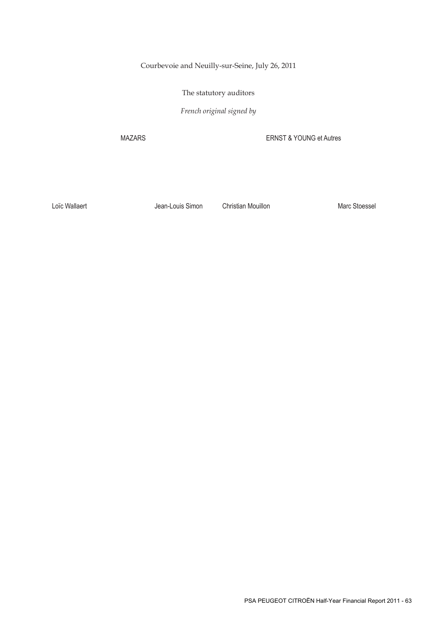Courbevoie and Neuilly-sur-Seine, July 26, 2011

The statutory auditors

*French original signed by* 

MAZARS ERNST & YOUNG et Autres

Loïc Wallaert **Marc Stoessel** Jean-Louis Simon Christian Mouillon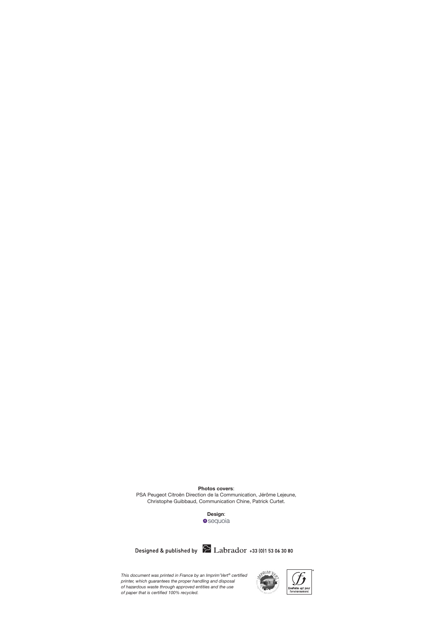**Photos covers**:

PSA Peugeot Citroën Direction de la Communication, Jérôme Lejeune, Christophe Guibbaud, Communication Chine, Patrick Curtet.

**Design:**<br>**O**sequoia

Designed & published by  $\sum$  Labrador +33 (0)1 53 06 30 80

This document was printed in France by an Imprim"Vert® certified<br>printer, which guarantees the proper handling and disposal<br>of hazardous waste through approved entities and the use<br>of paper that is certified 100% recycled.